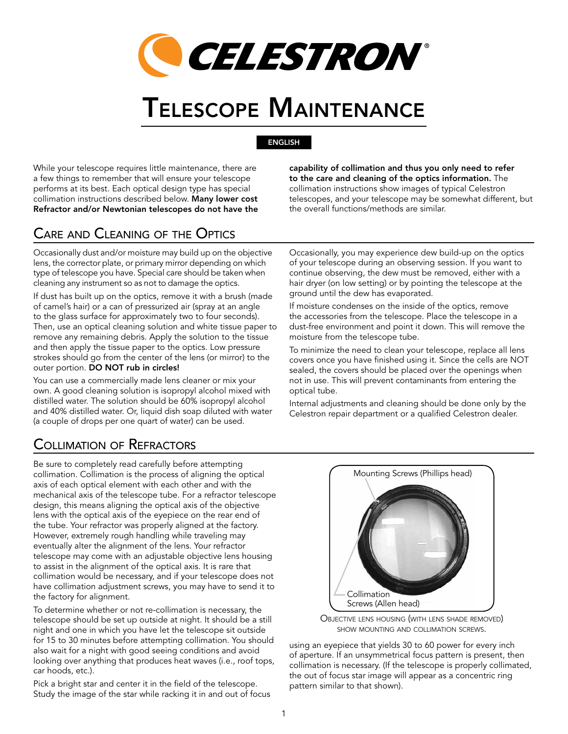

# Telescope Maintenance

## English

While your telescope requires little maintenance, there are a few things to remember that will ensure your telescope performs at its best. Each optical design type has special collimation instructions described below. Many lower cost Refractor and/or Newtonian telescopes do not have the capability of collimation and thus you only need to refer to the care and cleaning of the optics information. The collimation instructions show images of typical Celestron telescopes, and your telescope may be somewhat different, but the overall functions/methods are similar.

# Care and Cleaning of the Optics

Occasionally dust and/or moisture may build up on the objective lens, the corrector plate, or primary mirror depending on which type of telescope you have. Special care should be taken when cleaning any instrument so as not to damage the optics.

If dust has built up on the optics, remove it with a brush (made of camel's hair) or a can of pressurized air (spray at an angle to the glass surface for approximately two to four seconds). Then, use an optical cleaning solution and white tissue paper to remove any remaining debris. Apply the solution to the tissue and then apply the tissue paper to the optics. Low pressure strokes should go from the center of the lens (or mirror) to the outer portion. DO NOT rub in circles!

You can use a commercially made lens cleaner or mix your own. A good cleaning solution is isopropyl alcohol mixed with distilled water. The solution should be 60% isopropyl alcohol and 40% distilled water. Or, liquid dish soap diluted with water (a couple of drops per one quart of water) can be used.

Occasionally, you may experience dew build-up on the optics of your telescope during an observing session. If you want to continue observing, the dew must be removed, either with a hair dryer (on low setting) or by pointing the telescope at the

If moisture condenses on the inside of the optics, remove the accessories from the telescope. Place the telescope in a dust-free environment and point it down. This will remove the moisture from the telescope tube.

ground until the dew has evaporated.

To minimize the need to clean your telescope, replace all lens covers once you have finished using it. Since the cells are NOT sealed, the covers should be placed over the openings when not in use. This will prevent contaminants from entering the optical tube.

Internal adjustments and cleaning should be done only by the Celestron repair department or a qualified Celestron dealer.

# Collimation of Refractors

Be sure to completely read carefully before attempting collimation. Collimation is the process of aligning the optical axis of each optical element with each other and with the mechanical axis of the telescope tube. For a refractor telescope design, this means aligning the optical axis of the objective lens with the optical axis of the eyepiece on the rear end of the tube. Your refractor was properly aligned at the factory. However, extremely rough handling while traveling may eventually alter the alignment of the lens. Your refractor telescope may come with an adjustable objective lens housing to assist in the alignment of the optical axis. It is rare that collimation would be necessary, and if your telescope does not have collimation adjustment screws, you may have to send it to the factory for alignment.

To determine whether or not re-collimation is necessary, the telescope should be set up outside at night. It should be a still night and one in which you have let the telescope sit outside for 15 to 30 minutes before attempting collimation. You should also wait for a night with good seeing conditions and avoid looking over anything that produces heat waves (i.e., roof tops, car hoods, etc.).

Pick a bright star and center it in the field of the telescope. Study the image of the star while racking it in and out of focus





using an eyepiece that yields 30 to 60 power for every inch of aperture. If an unsymmetrical focus pattern is present, then collimation is necessary. (If the telescope is properly collimated, the out of focus star image will appear as a concentric ring pattern similar to that shown).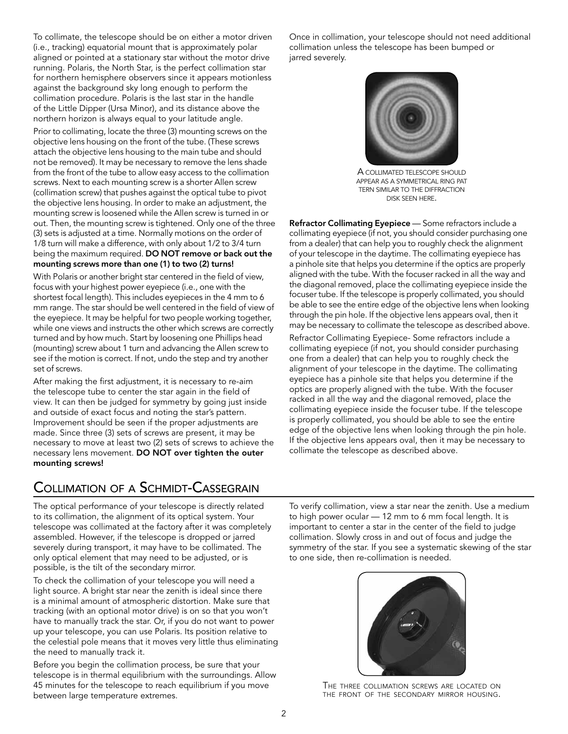To collimate, the telescope should be on either a motor driven (i.e., tracking) equatorial mount that is approximately polar aligned or pointed at a stationary star without the motor drive running. Polaris, the North Star, is the perfect collimation star for northern hemisphere observers since it appears motionless against the background sky long enough to perform the collimation procedure. Polaris is the last star in the handle of the Little Dipper (Ursa Minor), and its distance above the northern horizon is always equal to your latitude angle.

Prior to collimating, locate the three (3) mounting screws on the objective lens housing on the front of the tube. (These screws attach the objective lens housing to the main tube and should not be removed). It may be necessary to remove the lens shade from the front of the tube to allow easy access to the collimation screws. Next to each mounting screw is a shorter Allen screw (collimation screw) that pushes against the optical tube to pivot the objective lens housing. In order to make an adjustment, the mounting screw is loosened while the Allen screw is turned in or out. Then, the mounting screw is tightened. Only one of the three (3) sets is adjusted at a time. Normally motions on the order of 1/8 turn will make a difference, with only about 1/2 to 3/4 turn being the maximum required. DO NOT remove or back out the mounting screws more than one (1) to two (2) turns!

With Polaris or another bright star centered in the field of view, focus with your highest power eyepiece (i.e., one with the shortest focal length). This includes eyepieces in the 4 mm to 6 mm range. The star should be well centered in the field of view of the eyepiece. It may be helpful for two people working together, while one views and instructs the other which screws are correctly turned and by how much. Start by loosening one Phillips head (mounting) screw about 1 turn and advancing the Allen screw to see if the motion is correct. If not, undo the step and try another set of screws.

After making the first adjustment, it is necessary to re-aim the telescope tube to center the star again in the field of view. It can then be judged for symmetry by going just inside and outside of exact focus and noting the star's pattern. Improvement should be seen if the proper adjustments are made. Since three (3) sets of screws are present, it may be necessary to move at least two (2) sets of screws to achieve the necessary lens movement. DO NOT over tighten the outer mounting screws!

Once in collimation, your telescope should not need additional collimation unless the telescope has been bumped or jarred severely.



A collimated telescope should appear as a symmetrical ring pat tern similar to the diffraction disk seen here.

Refractor Collimating Eyepiece - Some refractors include a collimating eyepiece (if not, you should consider purchasing one from a dealer) that can help you to roughly check the alignment of your telescope in the daytime. The collimating eyepiece has a pinhole site that helps you determine if the optics are properly aligned with the tube. With the focuser racked in all the way and the diagonal removed, place the collimating eyepiece inside the focuser tube. If the telescope is properly collimated, you should be able to see the entire edge of the objective lens when looking through the pin hole. If the objective lens appears oval, then it may be necessary to collimate the telescope as described above.

Refractor Collimating Eyepiece- Some refractors include a collimating eyepiece (if not, you should consider purchasing one from a dealer) that can help you to roughly check the alignment of your telescope in the daytime. The collimating eyepiece has a pinhole site that helps you determine if the optics are properly aligned with the tube. With the focuser racked in all the way and the diagonal removed, place the collimating eyepiece inside the focuser tube. If the telescope is properly collimated, you should be able to see the entire edge of the objective lens when looking through the pin hole. If the objective lens appears oval, then it may be necessary to collimate the telescope as described above.

# Collimation of <sup>a</sup> Schmidt-Cassegrain

The optical performance of your telescope is directly related to its collimation, the alignment of its optical system. Your telescope was collimated at the factory after it was completely assembled. However, if the telescope is dropped or jarred severely during transport, it may have to be collimated. The only optical element that may need to be adjusted, or is possible, is the tilt of the secondary mirror.

To check the collimation of your telescope you will need a light source. A bright star near the zenith is ideal since there is a minimal amount of atmospheric distortion. Make sure that tracking (with an optional motor drive) is on so that you won't have to manually track the star. Or, if you do not want to power up your telescope, you can use Polaris. Its position relative to the celestial pole means that it moves very little thus eliminating the need to manually track it.

Before you begin the collimation process, be sure that your telescope is in thermal equilibrium with the surroundings. Allow 45 minutes for the telescope to reach equilibrium if you move between large temperature extremes.

To verify collimation, view a star near the zenith. Use a medium to high power ocular — 12 mm to 6 mm focal length. It is important to center a star in the center of the field to judge collimation. Slowly cross in and out of focus and judge the symmetry of the star. If you see a systematic skewing of the star to one side, then re-collimation is needed.



The three collimation screws are located on the front of the secondary mirror housing.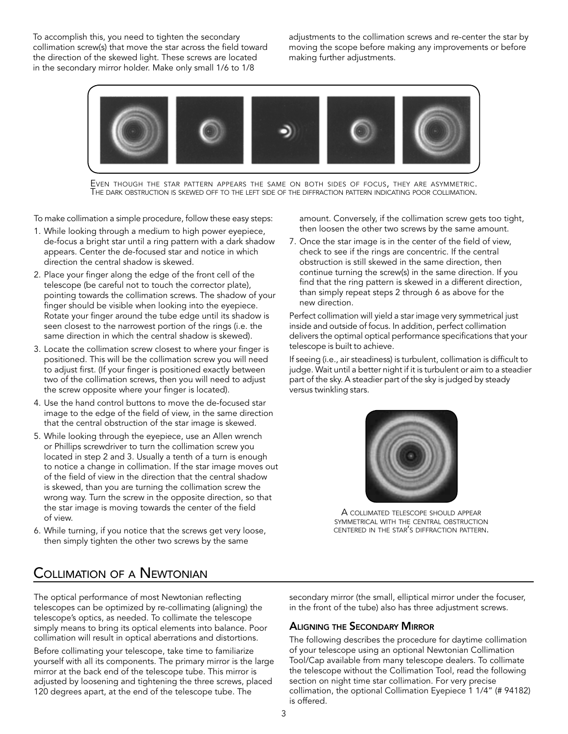To accomplish this, you need to tighten the secondary collimation screw(s) that move the star across the field toward the direction of the skewed light. These screws are located in the secondary mirror holder. Make only small 1/6 to 1/8

adjustments to the collimation screws and re-center the star by moving the scope before making any improvements or before making further adjustments.



Even though the star pattern appears the same on both sides of focus, they are asymmetric.<br>The dark obstruction is skewed off to the left side of the diffraction pattern indicating poor collimation.

To make collimation a simple procedure, follow these easy steps:

- 1. While looking through a medium to high power eyepiece, de-focus a bright star until a ring pattern with a dark shadow appears. Center the de-focused star and notice in which direction the central shadow is skewed.
- 2. Place your finger along the edge of the front cell of the telescope (be careful not to touch the corrector plate), pointing towards the collimation screws. The shadow of your finger should be visible when looking into the eyepiece. Rotate your finger around the tube edge until its shadow is seen closest to the narrowest portion of the rings (i.e. the same direction in which the central shadow is skewed).
- 3. Locate the collimation screw closest to where your finger is positioned. This will be the collimation screw you will need to adjust first. (If your finger is positioned exactly between two of the collimation screws, then you will need to adjust the screw opposite where your finger is located).
- 4. Use the hand control buttons to move the de-focused star image to the edge of the field of view, in the same direction that the central obstruction of the star image is skewed.
- 5. While looking through the eyepiece, use an Allen wrench or Phillips screwdriver to turn the collimation screw you located in step 2 and 3. Usually a tenth of a turn is enough to notice a change in collimation. If the star image moves out of the field of view in the direction that the central shadow is skewed, than you are turning the collimation screw the wrong way. Turn the screw in the opposite direction, so that the star image is moving towards the center of the field of view.
- 6. While turning, if you notice that the screws get very loose, then simply tighten the other two screws by the same

amount. Conversely, if the collimation screw gets too tight, then loosen the other two screws by the same amount.

7. Once the star image is in the center of the field of view, check to see if the rings are concentric. If the central obstruction is still skewed in the same direction, then continue turning the screw(s) in the same direction. If you find that the ring pattern is skewed in a different direction, than simply repeat steps 2 through 6 as above for the new direction.

Perfect collimation will yield a star image very symmetrical just inside and outside of focus. In addition, perfect collimation delivers the optimal optical performance specifications that your telescope is built to achieve.

If seeing (i.e., air steadiness) is turbulent, collimation is difficult to judge. Wait until a better night if it is turbulent or aim to a steadier part of the sky. A steadier part of the sky is judged by steady versus twinkling stars.



A collimated telescope should appear symmetrical with the central obstruction centered in the star's diffraction pattern.

## Collimation of a Newtonian

The optical performance of most Newtonian reflecting telescopes can be optimized by re-collimating (aligning) the telescope's optics, as needed. To collimate the telescope simply means to bring its optical elements into balance. Poor collimation will result in optical aberrations and distortions.

Before collimating your telescope, take time to familiarize yourself with all its components. The primary mirror is the large mirror at the back end of the telescope tube. This mirror is adjusted by loosening and tightening the three screws, placed 120 degrees apart, at the end of the telescope tube. The

secondary mirror (the small, elliptical mirror under the focuser, in the front of the tube) also has three adjustment screws.

### Aligning the Secondary Mirror

The following describes the procedure for daytime collimation of your telescope using an optional Newtonian Collimation Tool/Cap available from many telescope dealers. To collimate the telescope without the Collimation Tool, read the following section on night time star collimation. For very precise collimation, the optional Collimation Eyepiece 1 1/4" (# 94182) is offered.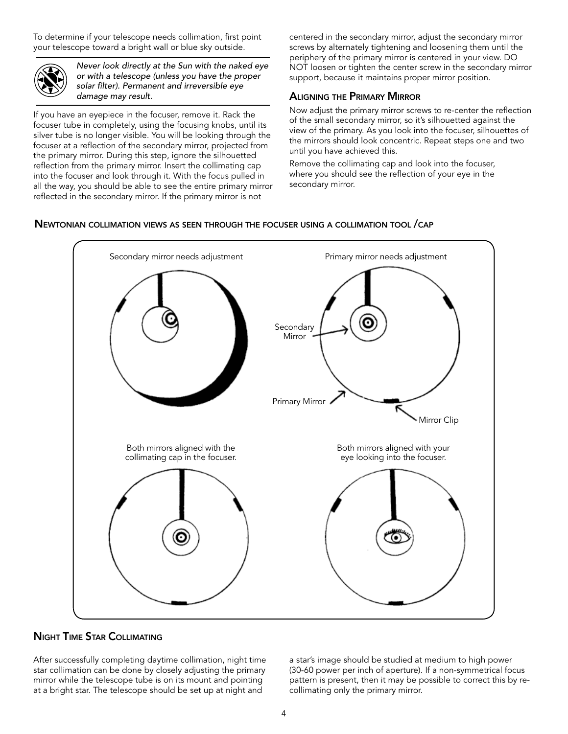To determine if your telescope needs collimation, first point your telescope toward a bright wall or blue sky outside.



*Never look directly at the Sun with the naked eye or with a telescope (unless you have the proper solar filter). Permanent and irreversible eye damage may result.*

If you have an eyepiece in the focuser, remove it. Rack the focuser tube in completely, using the focusing knobs, until its silver tube is no longer visible. You will be looking through the focuser at a reflection of the secondary mirror, projected from the primary mirror. During this step, ignore the silhouetted reflection from the primary mirror. Insert the collimating cap into the focuser and look through it. With the focus pulled in all the way, you should be able to see the entire primary mirror reflected in the secondary mirror. If the primary mirror is not

centered in the secondary mirror, adjust the secondary mirror screws by alternately tightening and loosening them until the periphery of the primary mirror is centered in your view. DO NOT loosen or tighten the center screw in the secondary mirror support, because it maintains proper mirror position.

## Aligning the Primary Mirror

Now adjust the primary mirror screws to re-center the reflection of the small secondary mirror, so it's silhouetted against the view of the primary. As you look into the focuser, silhouettes of the mirrors should look concentric. Repeat steps one and two until you have achieved this.

Remove the collimating cap and look into the focuser, where you should see the reflection of your eye in the secondary mirror.

## Newtonian collimation views as seen through the focuser using <sup>a</sup> collimation tool /cap



## Night Time Star Collimating

After successfully completing daytime collimation, night time star collimation can be done by closely adjusting the primary mirror while the telescope tube is on its mount and pointing at a bright star. The telescope should be set up at night and

a star's image should be studied at medium to high power (30-60 power per inch of aperture). If a non-symmetrical focus pattern is present, then it may be possible to correct this by recollimating only the primary mirror.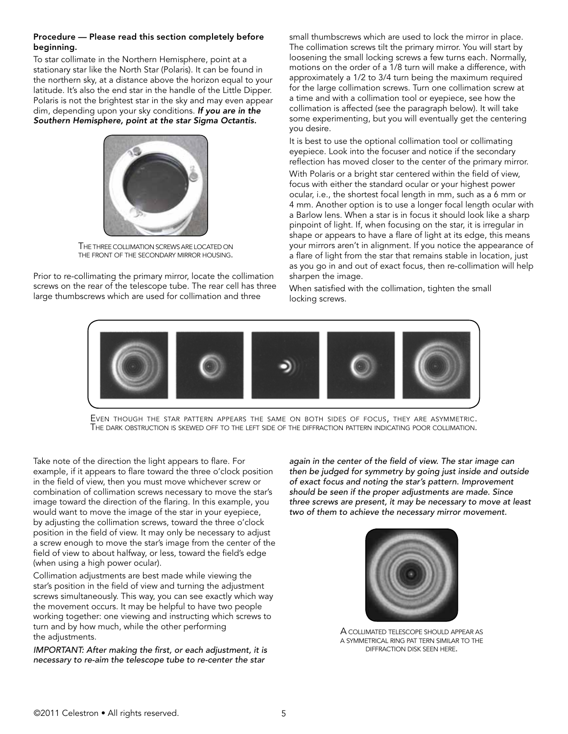#### Procedure — Please read this section completely before beginning.

To star collimate in the Northern Hemisphere, point at a stationary star like the North Star (Polaris). It can be found in the northern sky, at a distance above the horizon equal to your latitude. It's also the end star in the handle of the Little Dipper. Polaris is not the brightest star in the sky and may even appear dim, depending upon your sky conditions. *If you are in the Southern Hemisphere, point at the star Sigma Octantis.*



The three collimation screwsare located on the front of the secondary mirror housing.

Prior to re-collimating the primary mirror, locate the collimation screws on the rear of the telescope tube. The rear cell has three large thumbscrews which are used for collimation and three

small thumbscrews which are used to lock the mirror in place. The collimation screws tilt the primary mirror. You will start by loosening the small locking screws a few turns each. Normally, motions on the order of a 1/8 turn will make a difference, with approximately a 1/2 to 3/4 turn being the maximum required for the large collimation screws. Turn one collimation screw at a time and with a collimation tool or eyepiece, see how the collimation is affected (see the paragraph below). It will take some experimenting, but you will eventually get the centering you desire.

It is best to use the optional collimation tool or collimating eyepiece. Look into the focuser and notice if the secondary reflection has moved closer to the center of the primary mirror.

With Polaris or a bright star centered within the field of view, focus with either the standard ocular or your highest power ocular, i.e., the shortest focal length in mm, such as a 6 mm or 4 mm. Another option is to use a longer focal length ocular with a Barlow lens. When a star is in focus it should look like a sharp pinpoint of light. If, when focusing on the star, it is irregular in shape or appears to have a flare of light at its edge, this means your mirrors aren't in alignment. If you notice the appearance of a flare of light from the star that remains stable in location, just as you go in and out of exact focus, then re-collimation will help sharpen the image.

When satisfied with the collimation, tighten the small locking screws.



Even though the star pattern appears the same on both sides of focus, they are asymmetric.<br>The dark obstruction is skewed off to the left side of the diffraction pattern indicating poor collimation.

Take note of the direction the light appears to flare. For example, if it appears to flare toward the three o'clock position in the field of view, then you must move whichever screw or combination of collimation screws necessary to move the star's image toward the direction of the flaring. In this example, you would want to move the image of the star in your eyepiece, by adjusting the collimation screws, toward the three o'clock position in the field of view. It may only be necessary to adjust a screw enough to move the star's image from the center of the field of view to about halfway, or less, toward the field's edge (when using a high power ocular).

Collimation adjustments are best made while viewing the star's position in the field of view and turning the adjustment screws simultaneously. This way, you can see exactly which way the movement occurs. It may be helpful to have two people working together: one viewing and instructing which screws to turn and by how much, while the other performing the adjustments.

*IMPORTANT: After making the first, or each adjustment, it is necessary to re-aim the telescope tube to re-center the star* 

*again in the center of the field of view. The star image can then be judged for symmetry by going just inside and outside of exact focus and noting the star's pattern. Improvement should be seen if the proper adjustments are made. Since three screws are present, it may be necessary to move at least two of them to achieve the necessary mirror movement.*



A collimated telescope should appear as a symmetrical ring pat tern similar to the diffraction disk seen here.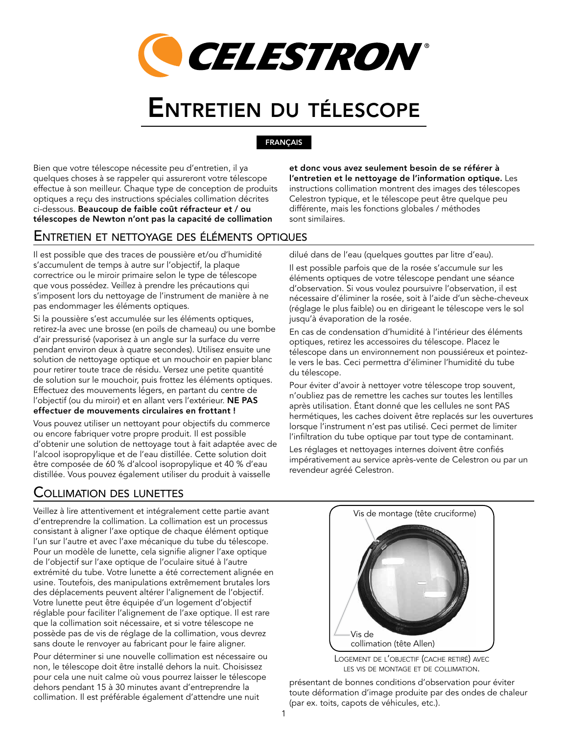

# Entretien du télescope

### FRANÇAIS

Bien que votre télescope nécessite peu d'entretien, il ya quelques choses à se rappeler qui assureront votre télescope effectue à son meilleur. Chaque type de conception de produits optiques a reçu des instructions spéciales collimation décrites ci-dessous. Beaucoup de faible coût réfracteur et / ou télescopes de Newton n'ont pas la capacité de collimation

et donc vous avez seulement besoin de se référer à l'entretien et le nettoyage de l'information optique. Les instructions collimation montrent des images des télescopes Celestron typique, et le télescope peut être quelque peu différente, mais les fonctions globales / méthodes sont similaires.

## Entretien et nettoyage des éléments optiques

Il est possible que des traces de poussière et/ou d'humidité s'accumulent de temps à autre sur l'objectif, la plaque correctrice ou le miroir primaire selon le type de télescope que vous possédez. Veillez à prendre les précautions qui s'imposent lors du nettoyage de l'instrument de manière à ne pas endommager les éléments optiques.

Si la poussière s'est accumulée sur les éléments optiques, retirez-la avec une brosse (en poils de chameau) ou une bombe d'air pressurisé (vaporisez à un angle sur la surface du verre pendant environ deux à quatre secondes). Utilisez ensuite une solution de nettoyage optique et un mouchoir en papier blanc pour retirer toute trace de résidu. Versez une petite quantité de solution sur le mouchoir, puis frottez les éléments optiques. Effectuez des mouvements légers, en partant du centre de l'objectif (ou du miroir) et en allant vers l'extérieur. NE PAS effectuer de mouvements circulaires en frottant !

Vous pouvez utiliser un nettoyant pour objectifs du commerce ou encore fabriquer votre propre produit. Il est possible d'obtenir une solution de nettoyage tout à fait adaptée avec de l'alcool isopropylique et de l'eau distillée. Cette solution doit être composée de 60 % d'alcool isopropylique et 40 % d'eau distillée. Vous pouvez également utiliser du produit à vaisselle

# Collimation des lunettes

Veillez à lire attentivement et intégralement cette partie avant d'entreprendre la collimation. La collimation est un processus consistant à aligner l'axe optique de chaque élément optique l'un sur l'autre et avec l'axe mécanique du tube du télescope. Pour un modèle de lunette, cela signifie aligner l'axe optique de l'objectif sur l'axe optique de l'oculaire situé à l'autre extrémité du tube. Votre lunette a été correctement alignée en usine. Toutefois, des manipulations extrêmement brutales lors des déplacements peuvent altérer l'alignement de l'objectif. Votre lunette peut être équipée d'un logement d'objectif réglable pour faciliter l'alignement de l'axe optique. Il est rare que la collimation soit nécessaire, et si votre télescope ne possède pas de vis de réglage de la collimation, vous devrez sans doute le renvoyer au fabricant pour le faire aligner.

Pour déterminer si une nouvelle collimation est nécessaire ou non, le télescope doit être installé dehors la nuit. Choisissez pour cela une nuit calme où vous pourrez laisser le télescope dehors pendant 15 à 30 minutes avant d'entreprendre la collimation. Il est préférable également d'attendre une nuit

dilué dans de l'eau (quelques gouttes par litre d'eau).

Il est possible parfois que de la rosée s'accumule sur les éléments optiques de votre télescope pendant une séance d'observation. Si vous voulez poursuivre l'observation, il est nécessaire d'éliminer la rosée, soit à l'aide d'un sèche-cheveux (réglage le plus faible) ou en dirigeant le télescope vers le sol jusqu'à évaporation de la rosée.

En cas de condensation d'humidité à l'intérieur des éléments optiques, retirez les accessoires du télescope. Placez le télescope dans un environnement non poussiéreux et pointezle vers le bas. Ceci permettra d'éliminer l'humidité du tube du télescope.

Pour éviter d'avoir à nettoyer votre télescope trop souvent, n'oubliez pas de remettre les caches sur toutes les lentilles après utilisation. Étant donné que les cellules ne sont PAS hermétiques, les caches doivent être replacés sur les ouvertures lorsque l'instrument n'est pas utilisé. Ceci permet de limiter l'infiltration du tube optique par tout type de contaminant.

Les réglages et nettoyages internes doivent être confiés impérativement au service après-vente de Celestron ou par un revendeur agréé Celestron.



Logement de l'objectif (cache retiré) avec les vis de montage et de collimation.

présentant de bonnes conditions d'observation pour éviter toute déformation d'image produite par des ondes de chaleur (par ex. toits, capots de véhicules, etc.).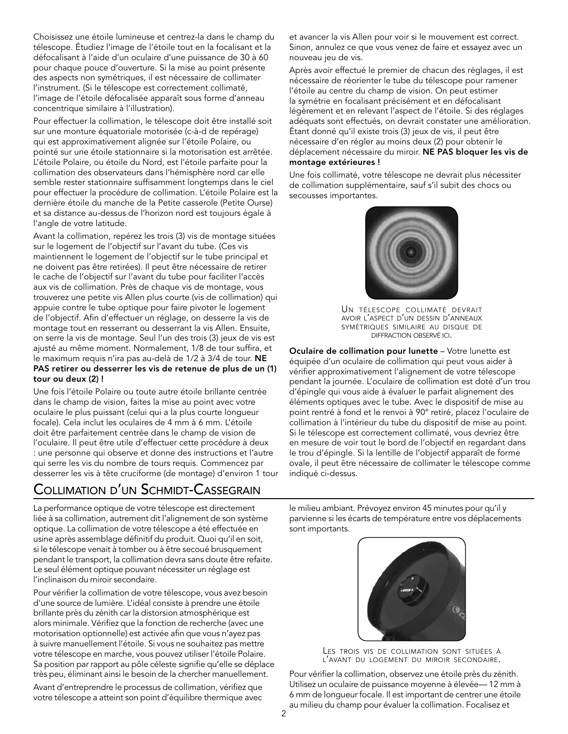Choisissez une étoile lumineuse et centrez-la dans le champ du télescope. Étudiez l'image de l'étoile tout en la focalisant et la défocalisant à l'aide d'un oculaire d'une puissance de 30 à 60 pour chaque pouce d'ouverture. Si la mise au point présente des aspects non symétriques, il est nécessaire de collimater l'instrument. (Si le télescope est correctement collimaté, l'image de l'étoile défocalisée apparaît sous forme d'anneau concentrique similaire à l'illustration).

Pour effectuer la collimation, le télescope doit être installé soit sur une monture équatoriale motorisée (c-à-d de repérage) qui est approximativement alignée sur l'étoile Polaire, ou pointé sur une étoile stationnaire si la motorisation est arrêtée. L'étoile Polaire, ou étoile du Nord, est l'étoile parfaite pour la collimation des observateurs dans l'hémisphère nord car elle semble rester stationnaire suffisamment longtemps dans le ciel pour effectuer la procédure de collimation. L'étoile Polaire est la dernière étoile du manche de la Petite casserole (Petite Ourse) et sa distance au-dessus de l'horizon nord est toujours égale à l'angle de votre latitude.

Avant la collimation, repérez les trois (3) vis de montage situées sur le logement de l'objectif sur l'avant du tube. (Ces vis maintiennent le logement de l'objectif sur le tube principal et ne doivent pas être retirées). Il peut être nécessaire de retirer le cache de l'objectif sur l'avant du tube pour faciliter l'accès aux vis de collimation. Près de chaque vis de montage, vous trouverez une petite vis Allen plus courte (vis de collimation) qui appuie contre le tube optique pour faire pivoter le logement de l'objectif. Afin d'effectuer un réglage, on desserre la vis de montage tout en resserrant ou desserrant la vis Allen. Ensuite, on serre la vis de montage. Seul l'un des trois (3) jeux de vis est ajusté au même moment. Normalement, 1/8 de tour suffira, et le maximum requis n'ira pas au-delà de 1/2 à 3/4 de tour. NE PAS retirer ou desserrer les vis de retenue de plus de un (1) tour ou deux (2) !

Une fois l'étoile Polaire ou toute autre étoile brillante centrée dans le champ de vision, faites la mise au point avec votre oculaire le plus puissant (celui qui a la plus courte longueur focale). Cela inclut les oculaires de 4 mm à 6 mm. L'étoile doit être parfaitement centrée dans le champ de vision de l'oculaire. Il peut être utile d'effectuer cette procédure à deux : une personne qui observe et donne des instructions et l'autre qui serre les vis du nombre de tours requis. Commencez par desserrer les vis à tête cruciforme (de montage) d'environ 1 tour

# Collimation d'un Schmidt-Cassegrain

La performance optique de votre télescope est directement liée à sa collimation, autrement dit l'alignement de son système optique. La collimation de votre télescope a été effectuée en usine après assemblage définitif du produit. Quoi qu'il en soit, si le télescope venait à tomber ou à être secoué brusquement pendant le transport, la collimation devra sans doute être refaite. Le seul élément optique pouvant nécessiter un réglage est l'inclinaison du miroir secondaire.

Pour vérifier la collimation de votre télescope, vous avez besoin d'une source de lumière. L'idéal consiste à prendre une étoile brillante près du zénith car la distorsion atmosphérique est alors minimale. Vérifiez que la fonction de recherche (avec une motorisation optionnelle) est activée afin que vous n'ayez pas à suivre manuellement l'étoile. Si vous ne souhaitez pas mettre votre télescope en marche, vous pouvez utiliser l'étoile Polaire. Sa position par rapport au pôle céleste signifie qu'elle se déplace très peu, éliminant ainsi le besoin de la chercher manuellement.

Avant d'entreprendre le processus de collimation, vérifiez que votre télescope a atteint son point d'équilibre thermique avec

et avancer la vis Allen pour voir si le mouvement est correct. Sinon, annulez ce que vous venez de faire et essayez avec un nouveau jeu de vis.

Après avoir effectué le premier de chacun des réglages, il est nécessaire de réorienter le tube du télescope pour ramener l'étoile au centre du champ de vision. On peut estimer la symétrie en focalisant précisément et en défocalisant légèrement et en relevant l'aspect de l'étoile. Si des réglages adéquats sont effectués, on devrait constater une amélioration. Étant donné qu'il existe trois (3) jeux de vis, il peut être nécessaire d'en régler au moins deux (2) pour obtenir le déplacement nécessaire du miroir. NE PAS bloquer les vis de montage extérieures !

Une fois collimaté, votre télescope ne devrait plus nécessiter de collimation supplémentaire, sauf s'il subit des chocs ou secousses importantes.



Un télescope collimaté devrait avoir l'aspect d'un dessin d'anneaux symétriques similaire au disque de diffraction observé ici.

Oculaire de collimation pour lunette – Votre lunette est équipée d'un oculaire de collimation qui peut vous aider à vérifier approximativement l'alignement de votre télescope pendant la journée. L'oculaire de collimation est doté d'un trou d'épingle qui vous aide à évaluer le parfait alignement des éléments optiques avec le tube. Avec le dispositif de mise au point rentré à fond et le renvoi à 90° retiré, placez l'oculaire de collimation à l'intérieur du tube du dispositif de mise au point. Si le télescope est correctement collimaté, vous devriez être en mesure de voir tout le bord de l'objectif en regardant dans le trou d'épingle. Si la lentille de l'objectif apparaît de forme ovale, il peut être nécessaire de collimater le télescope comme indiqué ci-dessus.

le milieu ambiant. Prévoyez environ 45 minutes pour qu'il y parvienne si les écarts de température entre vos déplacements sont importants.



Les trois vis de collimation sont situées <sup>à</sup> l'avant du logement du miroir secondaire.

Pour vérifier la collimation, observez une étoile près du zénith. Utilisez un oculaire de puissance moyenne à élevée— 12 mm à 6 mm de longueur focale. Il est important de centrer une étoile au milieu du champ pour évaluer la collimation. Focalisez et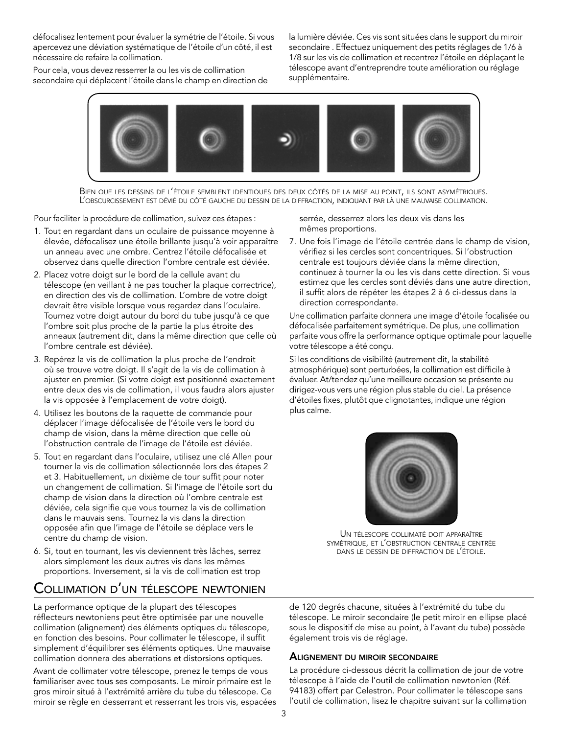défocalisez lentement pour évaluer la symétrie de l'étoile. Si vous apercevez une déviation systématique de l'étoile d'un côté, il est nécessaire de refaire la collimation.

Pour cela, vous devez resserrer la ou les vis de collimation secondaire qui déplacent l'étoile dans le champ en direction de la lumière déviée. Ces vis sont situées dans le support du miroir secondaire . Effectuez uniquement des petits réglages de 1/6 à 1/8 sur les vis de collimation et recentrez l'étoile en déplaçant le télescope avant d'entreprendre toute amélioration ou réglage supplémentaire.



Bien que les dessins de l'étoile semblent identiques des deux côtés de la mise au point, ils sont asymétriques.<br>L'obscurcissement est dévié du côté gauche du dessin de la diffraction, indiquant par là une mauvaise collimat

Pour faciliter la procédure de collimation, suivez ces étapes :

- 1. Tout en regardant dans un oculaire de puissance moyenne à élevée, défocalisez une étoile brillante jusqu'à voir apparaître un anneau avec une ombre. Centrez l'étoile défocalisée et observez dans quelle direction l'ombre centrale est déviée.
- 2. Placez votre doigt sur le bord de la cellule avant du télescope (en veillant à ne pas toucher la plaque correctrice), en direction des vis de collimation. L'ombre de votre doigt devrait être visible lorsque vous regardez dans l'oculaire. Tournez votre doigt autour du bord du tube jusqu'à ce que l'ombre soit plus proche de la partie la plus étroite des anneaux (autrement dit, dans la même direction que celle où l'ombre centrale est déviée).
- 3. Repérez la vis de collimation la plus proche de l'endroit où se trouve votre doigt. Il s'agit de la vis de collimation à ajuster en premier. (Si votre doigt est positionné exactement entre deux des vis de collimation, il vous faudra alors ajuster la vis opposée à l'emplacement de votre doigt).
- 4. Utilisez les boutons de la raquette de commande pour déplacer l'image défocalisée de l'étoile vers le bord du champ de vision, dans la même direction que celle où l'obstruction centrale de l'image de l'étoile est déviée.
- 5. Tout en regardant dans l'oculaire, utilisez une clé Allen pour tourner la vis de collimation sélectionnée lors des étapes 2 et 3. Habituellement, un dixième de tour suffit pour noter un changement de collimation. Si l'image de l'étoile sort du champ de vision dans la direction où l'ombre centrale est déviée, cela signifie que vous tournez la vis de collimation dans le mauvais sens. Tournez la vis dans la direction opposée afin que l'image de l'étoile se déplace vers le centre du champ de vision.
- 6. Si, tout en tournant, les vis deviennent très lâches, serrez alors simplement les deux autres vis dans les mêmes proportions. Inversement, si la vis de collimation est trop

## Collimation d'un télescope newtonien

La performance optique de la plupart des télescopes réflecteurs newtoniens peut être optimisée par une nouvelle collimation (alignement) des éléments optiques du télescope, en fonction des besoins. Pour collimater le télescope, il suffit simplement d'équilibrer ses éléments optiques. Une mauvaise collimation donnera des aberrations et distorsions optiques.

Avant de collimater votre télescope, prenez le temps de vous familiariser avec tous ses composants. Le miroir primaire est le gros miroir situé à l'extrémité arrière du tube du télescope. Ce miroir se règle en desserrant et resserrant les trois vis, espacées serrée, desserrez alors les deux vis dans les mêmes proportions.

7. Une fois l'image de l'étoile centrée dans le champ de vision, vérifiez si les cercles sont concentriques. Si l'obstruction centrale est toujours déviée dans la même direction, continuez à tourner la ou les vis dans cette direction. Si vous estimez que les cercles sont déviés dans une autre direction, il suffit alors de répéter les étapes 2 à 6 ci-dessus dans la direction correspondante.

Une collimation parfaite donnera une image d'étoile focalisée ou défocalisée parfaitement symétrique. De plus, une collimation parfaite vous offre la performance optique optimale pour laquelle votre télescope a été conçu.

Si les conditions de visibilité (autrement dit, la stabilité atmosphérique) sont perturbées, la collimation est difficile à évaluer. At/tendez qu'une meilleure occasion se présente ou dirigez-vous vers une région plus stable du ciel. La présence d'étoiles fixes, plutôt que clignotantes, indique une région plus calme.



Un télescope collimaté doit apparaître symétrique, et l'obstruction centrale centrée dans le dessin de diffraction de l'étoile.

de 120 degrés chacune, situées à l'extrémité du tube du télescope. Le miroir secondaire (le petit miroir en ellipse placé sous le dispositif de mise au point, à l'avant du tube) possède également trois vis de réglage.

## Alignement du miroir secondaire

La procédure ci-dessous décrit la collimation de jour de votre télescope à l'aide de l'outil de collimation newtonien (Réf. 94183) offert par Celestron. Pour collimater le télescope sans l'outil de collimation, lisez le chapitre suivant sur la collimation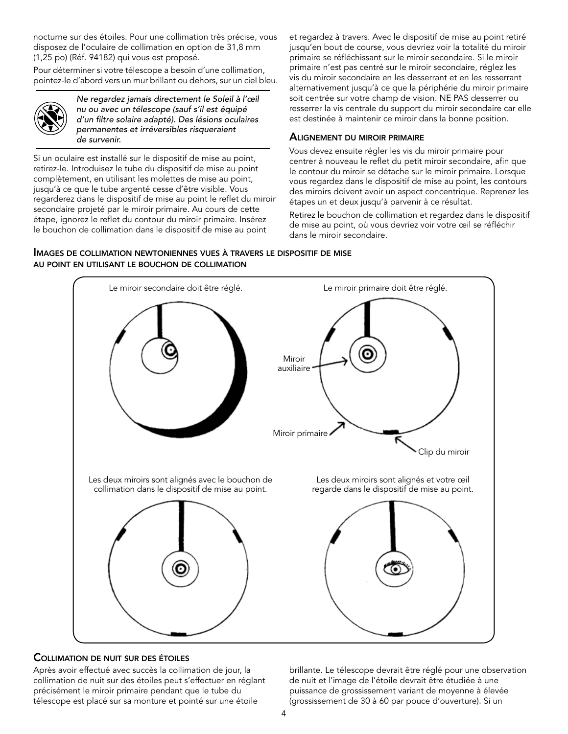nocturne sur des étoiles. Pour une collimation très précise, vous disposez de l'oculaire de collimation en option de 31,8 mm (1,25 po) (Réf. 94182) qui vous est proposé.

Pour déterminer si votre télescope a besoin d'une collimation, pointez-le d'abord vers un mur brillant ou dehors, sur un ciel bleu.



*Ne regardez jamais directement le Soleil à l'œil nu ou avec un télescope (sauf s'il est équipé d'un filtre solaire adapté). Des lésions oculaires permanentes et irréversibles risqueraient de survenir.*

Si un oculaire est installé sur le dispositif de mise au point, retirez-le. Introduisez le tube du dispositif de mise au point complètement, en utilisant les molettes de mise au point, jusqu'à ce que le tube argenté cesse d'être visible. Vous regarderez dans le dispositif de mise au point le reflet du miroir secondaire projeté par le miroir primaire. Au cours de cette étape, ignorez le reflet du contour du miroir primaire. Insérez le bouchon de collimation dans le dispositif de mise au point

et regardez à travers. Avec le dispositif de mise au point retiré jusqu'en bout de course, vous devriez voir la totalité du miroir primaire se réfléchissant sur le miroir secondaire. Si le miroir primaire n'est pas centré sur le miroir secondaire, réglez les vis du miroir secondaire en les desserrant et en les resserrant alternativement jusqu'à ce que la périphérie du miroir primaire soit centrée sur votre champ de vision. NE PAS desserrer ou resserrer la vis centrale du support du miroir secondaire car elle est destinée à maintenir ce miroir dans la bonne position.

## Alignement du miroir primaire

Vous devez ensuite régler les vis du miroir primaire pour centrer à nouveau le reflet du petit miroir secondaire, afin que le contour du miroir se détache sur le miroir primaire. Lorsque vous regardez dans le dispositif de mise au point, les contours des miroirs doivent avoir un aspect concentrique. Reprenez les étapes un et deux jusqu'à parvenir à ce résultat.

Retirez le bouchon de collimation et regardez dans le dispositif de mise au point, où vous devriez voir votre œil se réfléchir dans le miroir secondaire.

Images de collimation newtoniennes vues <sup>à</sup> travers le dispositif de mise au point en utilisant le bouchon de collimation



## Collimation de nuit sur des étoiles

Après avoir effectué avec succès la collimation de jour, la collimation de nuit sur des étoiles peut s'effectuer en réglant précisément le miroir primaire pendant que le tube du télescope est placé sur sa monture et pointé sur une étoile

brillante. Le télescope devrait être réglé pour une observation de nuit et l'image de l'étoile devrait être étudiée à une puissance de grossissement variant de moyenne à élevée (grossissement de 30 à 60 par pouce d'ouverture). Si un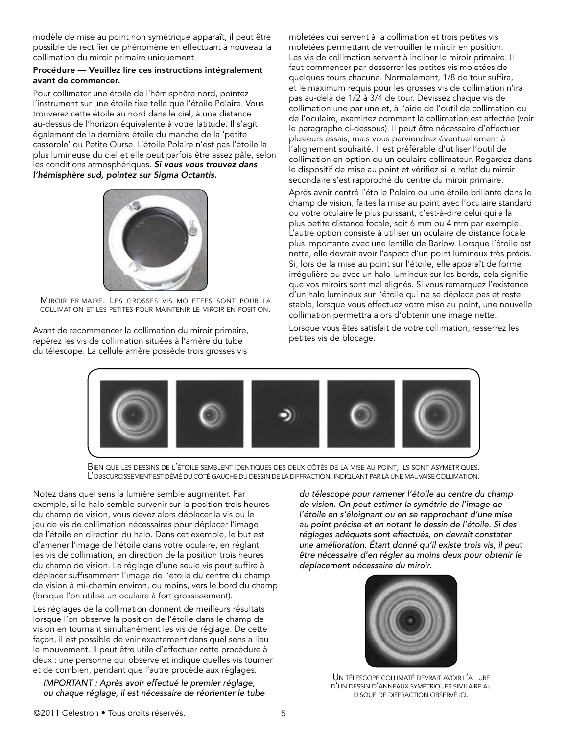modèle de mise au point non symétrique apparaît, il peut être possible de rectifier ce phénomène en effectuant à nouveau la collimation du miroir primaire uniquement.

#### Procédure — Veuillez lire ces instructions intégralement avant de commencer.

Pour collimater une étoile de l'hémisphère nord, pointez l'instrument sur une étoile fixe telle que l'étoile Polaire. Vous trouverez cette étoile au nord dans le ciel, à une distance au-dessus de l'horizon équivalente à votre latitude. Il s'agit également de la dernière étoile du manche de la 'petite casserole' ou Petite Ourse. L'étoile Polaire n'est pas l'étoile la plus lumineuse du ciel et elle peut parfois être assez pâle, selon les conditions atmosphériques. *Si vous vous trouvez dans l'hémisphère sud, pointez sur Sigma Octantis.*



Miroir primaire. Les grosses vis moletées sont pour la collimation et les petites pour maintenir le miroir en position.

Avant de recommencer la collimation du miroir primaire, repérez les vis de collimation situées à l'arrière du tube du télescope. La cellule arrière possède trois grosses vis

moletées qui servent à la collimation et trois petites vis moletées permettant de verrouiller le miroir en position. Les vis de collimation servent à incliner le miroir primaire. Il faut commencer par desserrer les petites vis moletées de quelques tours chacune. Normalement, 1/8 de tour suffira, et le maximum requis pour les grosses vis de collimation n'ira pas au-delà de 1/2 à 3/4 de tour. Dévissez chaque vis de collimation une par une et, à l'aide de l'outil de collimation ou de l'oculaire, examinez comment la collimation est affectée (voir le paragraphe ci-dessous). Il peut être nécessaire d'effectuer plusieurs essais, mais vous parviendrez éventuellement à l'alignement souhaité. Il est préférable d'utiliser l'outil de collimation en option ou un oculaire collimateur. Regardez dans le dispositif de mise au point et vérifiez si le reflet du miroir secondaire s'est rapproché du centre du miroir primaire.

Après avoir centré l'étoile Polaire ou une étoile brillante dans le champ de vision, faites la mise au point avec l'oculaire standard ou votre oculaire le plus puissant, c'est-à-dire celui qui a la plus petite distance focale, soit 6 mm ou 4 mm par exemple. L'autre option consiste à utiliser un oculaire de distance focale plus importante avec une lentille de Barlow. Lorsque l'étoile est nette, elle devrait avoir l'aspect d'un point lumineux très précis. Si, lors de la mise au point sur l'étoile, elle apparaît de forme irrégulière ou avec un halo lumineux sur les bords, cela signifie que vos miroirs sont mal alignés. Si vous remarquez l'existence d'un halo lumineux sur l'étoile qui ne se déplace pas et reste stable, lorsque vous effectuez votre mise au point, une nouvelle collimation permettra alors d'obtenir une image nette.

Lorsque vous êtes satisfait de votre collimation, resserrez les petites vis de blocage.



BIEN QUE LES DESSINS DE L'ÉTOILE SEMBLENT IDENTIQUES DES DEUX CÔTÉS DE LA MISE AU POINT, ILS SONT ASYMÉTRIQUES.<br>L'OBSCURCISSEMENT EST DÉVIÉ DU CÔTÉ GAUCHE DU DESSIN DE LA DIFFRACTION, INDIQUANT PAR LÀ UNE MAUVAISE COLLIMAT

Notez dans quel sens la lumière semble augmenter. Par exemple, si le halo semble survenir sur la position trois heures du champ de vision, vous devez alors déplacer la vis ou le jeu de vis de collimation nécessaires pour déplacer l'image de l'étoile en direction du halo. Dans cet exemple, le but est d'amener l'image de l'étoile dans votre oculaire, en réglant les vis de collimation, en direction de la position trois heures du champ de vision. Le réglage d'une seule vis peut suffire à déplacer suffisamment l'image de l'étoile du centre du champ de vision à mi-chemin environ, ou moins, vers le bord du champ (lorsque l'on utilise un oculaire à fort grossissement).

Les réglages de la collimation donnent de meilleurs résultats lorsque l'on observe la position de l'étoile dans le champ de vision en tournant simultanément les vis de réglage. De cette façon, il est possible de voir exactement dans quel sens a lieu le mouvement. Il peut être utile d'effectuer cette procédure à deux : une personne qui observe et indique quelles vis tourner et de combien, pendant que l'autre procède aux réglages.

*IMPORTANT : Après avoir effectué le premier réglage, ou chaque réglage, il est nécessaire de réorienter le tube*  *du télescope pour ramener l'étoile au centre du champ de vision. On peut estimer la symétrie de l'image de l'étoile en s'éloignant ou en se rapprochant d'une mise au point précise et en notant le dessin de l'étoile. Si des réglages adéquats sont effectués, on devrait constater une amélioration. Étant donné qu'il existe trois vis, il peut être nécessaire d'en régler au moins deux pour obtenir le déplacement nécessaire du miroir.*



Un télescope collimaté devrait avoir l'allure d'un dessin d'anneaux symétriques similaire au disque de diffraction observé ici.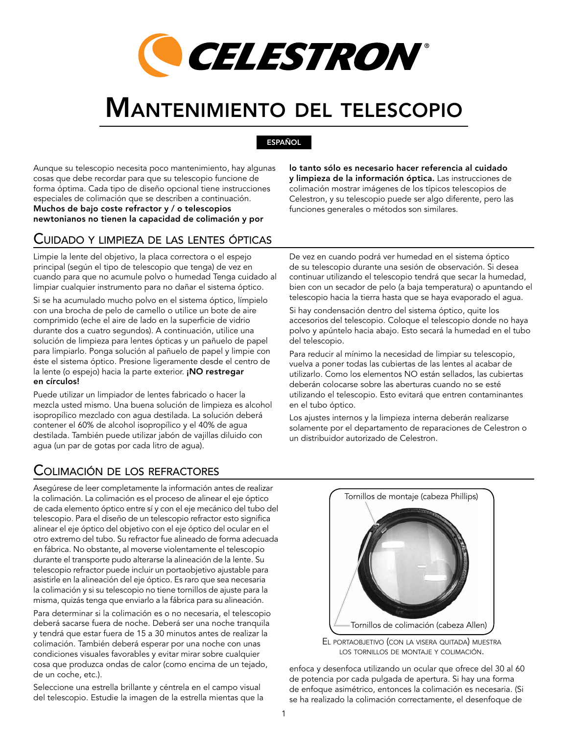

# Mantenimiento del telescopio

ESPAÑOL

Aunque su telescopio necesita poco mantenimiento, hay algunas cosas que debe recordar para que su telescopio funcione de forma óptima. Cada tipo de diseño opcional tiene instrucciones especiales de colimación que se describen a continuación. Muchos de bajo coste refractor y / o telescopios newtonianos no tienen la capacidad de colimación y por

# Cuidado y limpieza de las lentes ópticas

Limpie la lente del objetivo, la placa correctora o el espejo principal (según el tipo de telescopio que tenga) de vez en cuando para que no acumule polvo o humedad Tenga cuidado al limpiar cualquier instrumento para no dañar el sistema óptico.

Si se ha acumulado mucho polvo en el sistema óptico, límpielo con una brocha de pelo de camello o utilice un bote de aire comprimido (eche el aire de lado en la superficie de vidrio durante dos a cuatro segundos). A continuación, utilice una solución de limpieza para lentes ópticas y un pañuelo de papel para limpiarlo. Ponga solución al pañuelo de papel y limpie con éste el sistema óptico. Presione ligeramente desde el centro de la lente (o espejo) hacia la parte exterior. ¡NO restregar en círculos!

Puede utilizar un limpiador de lentes fabricado o hacer la mezcla usted mismo. Una buena solución de limpieza es alcohol isopropílico mezclado con agua destilada. La solución deberá contener el 60% de alcohol isopropílico y el 40% de agua destilada. También puede utilizar jabón de vajillas diluido con agua (un par de gotas por cada litro de agua).

# Colimación de los refractores

Asegúrese de leer completamente la información antes de realizar la colimación. La colimación es el proceso de alinear el eje óptico de cada elemento óptico entre sí y con el eje mecánico del tubo del telescopio. Para el diseño de un telescopio refractor esto significa alinear el eje óptico del objetivo con el eje óptico del ocular en el otro extremo del tubo. Su refractor fue alineado de forma adecuada en fábrica. No obstante, al moverse violentamente el telescopio durante el transporte pudo alterarse la alineación de la lente. Su telescopio refractor puede incluir un portaobjetivo ajustable para asistirle en la alineación del eje óptico. Es raro que sea necesaria la colimación y si su telescopio no tiene tornillos de ajuste para la misma, quizás tenga que enviarlo a la fábrica para su alineación.

Para determinar si la colimación es o no necesaria, el telescopio deberá sacarse fuera de noche. Deberá ser una noche tranquila y tendrá que estar fuera de 15 a 30 minutos antes de realizar la colimación. También deberá esperar por una noche con unas condiciones visuales favorables y evitar mirar sobre cualquier cosa que produzca ondas de calor (como encima de un tejado, de un coche, etc.).

Seleccione una estrella brillante y céntrela en el campo visual del telescopio. Estudie la imagen de la estrella mientas que la

lo tanto sólo es necesario hacer referencia al cuidado y limpieza de la información óptica. Las instrucciones de colimación mostrar imágenes de los típicos telescopios de Celestron, y su telescopio puede ser algo diferente, pero las funciones generales o métodos son similares.

De vez en cuando podrá ver humedad en el sistema óptico de su telescopio durante una sesión de observación. Si desea continuar utilizando el telescopio tendrá que secar la humedad, bien con un secador de pelo (a baja temperatura) o apuntando el telescopio hacia la tierra hasta que se haya evaporado el agua.

Si hay condensación dentro del sistema óptico, quite los accesorios del telescopio. Coloque el telescopio donde no haya polvo y apúntelo hacia abajo. Esto secará la humedad en el tubo del telescopio.

Para reducir al mínimo la necesidad de limpiar su telescopio, vuelva a poner todas las cubiertas de las lentes al acabar de utilizarlo. Como los elementos NO están sellados, las cubiertas deberán colocarse sobre las aberturas cuando no se esté utilizando el telescopio. Esto evitará que entren contaminantes en el tubo óptico.

Los ajustes internos y la limpieza interna deberán realizarse solamente por el departamento de reparaciones de Celestron o un distribuidor autorizado de Celestron.





enfoca y desenfoca utilizando un ocular que ofrece del 30 al 60 de potencia por cada pulgada de apertura. Si hay una forma de enfoque asimétrico, entonces la colimación es necesaria. (Si se ha realizado la colimación correctamente, el desenfoque de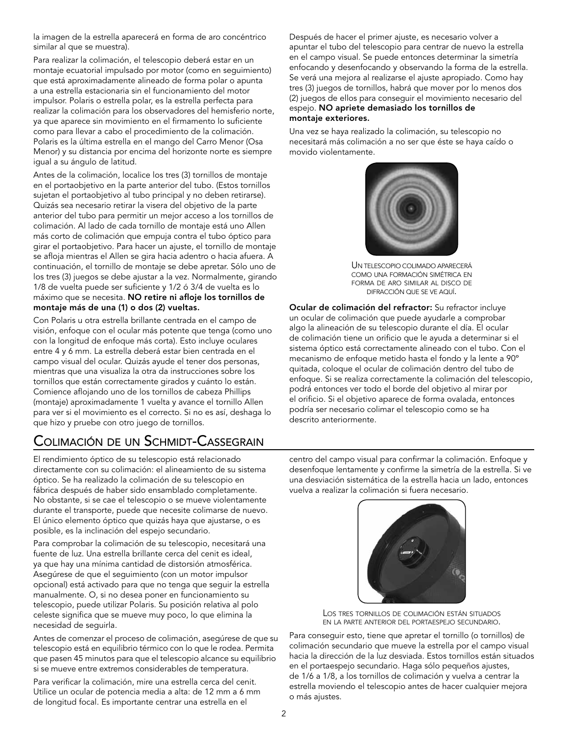la imagen de la estrella aparecerá en forma de aro concéntrico similar al que se muestra).

Para realizar la colimación, el telescopio deberá estar en un montaje ecuatorial impulsado por motor (como en seguimiento) que está aproximadamente alineado de forma polar o apunta a una estrella estacionaria sin el funcionamiento del motor impulsor. Polaris o estrella polar, es la estrella perfecta para realizar la colimación para los observadores del hemisferio norte, ya que aparece sin movimiento en el firmamento lo suficiente como para llevar a cabo el procedimiento de la colimación. Polaris es la última estrella en el mango del Carro Menor (Osa Menor) y su distancia por encima del horizonte norte es siempre igual a su ángulo de latitud.

Antes de la colimación, localice los tres (3) tornillos de montaje en el portaobjetivo en la parte anterior del tubo. (Estos tornillos sujetan el portaobjetivo al tubo principal y no deben retirarse). Quizás sea necesario retirar la visera del objetivo de la parte anterior del tubo para permitir un mejor acceso a los tornillos de colimación. Al lado de cada tornillo de montaje está uno Allen más corto de colimación que empuja contra el tubo óptico para girar el portaobjetivo. Para hacer un ajuste, el tornillo de montaje se afloja mientras el Allen se gira hacia adentro o hacia afuera. A continuación, el tornillo de montaje se debe apretar. Sólo uno de los tres (3) juegos se debe ajustar a la vez. Normalmente, girando 1/8 de vuelta puede ser suficiente y 1/2 ó 3/4 de vuelta es lo máximo que se necesita. NO retire ni afloje los tornillos de montaje más de una (1) o dos (2) vueltas.

Con Polaris u otra estrella brillante centrada en el campo de visión, enfoque con el ocular más potente que tenga (como uno con la longitud de enfoque más corta). Esto incluye oculares entre 4 y 6 mm. La estrella deberá estar bien centrada en el campo visual del ocular. Quizás ayude el tener dos personas, mientras que una visualiza la otra da instrucciones sobre los tornillos que están correctamente girados y cuánto lo están. Comience aflojando uno de los tornillos de cabeza Phillips (montaje) aproximadamente 1 vuelta y avance el tornillo Allen para ver si el movimiento es el correcto. Si no es así, deshaga lo que hizo y pruebe con otro juego de tornillos.

# Colimación de un Schmidt-Cassegrain

El rendimiento óptico de su telescopio está relacionado directamente con su colimación: el alineamiento de su sistema óptico. Se ha realizado la colimación de su telescopio en fábrica después de haber sido ensamblado completamente. No obstante, si se cae el telescopio o se mueve violentamente durante el transporte, puede que necesite colimarse de nuevo. El único elemento óptico que quizás haya que ajustarse, o es posible, es la inclinación del espejo secundario.

Para comprobar la colimación de su telescopio, necesitará una fuente de luz. Una estrella brillante cerca del cenit es ideal, ya que hay una mínima cantidad de distorsión atmosférica. Asegúrese de que el seguimiento (con un motor impulsor opcional) está activado para que no tenga que seguir la estrella manualmente. O, si no desea poner en funcionamiento su telescopio, puede utilizar Polaris. Su posición relativa al polo celeste significa que se mueve muy poco, lo que elimina la necesidad de seguirla.

Antes de comenzar el proceso de colimación, asegúrese de que su telescopio está en equilibrio térmico con lo que le rodea. Permita que pasen 45 minutos para que el telescopio alcance su equilibrio si se mueve entre extremos considerables de temperatura.

Para verificar la colimación, mire una estrella cerca del cenit. Utilice un ocular de potencia media a alta: de 12 mm a 6 mm de longitud focal. Es importante centrar una estrella en el

Después de hacer el primer ajuste, es necesario volver a apuntar el tubo del telescopio para centrar de nuevo la estrella en el campo visual. Se puede entonces determinar la simetría enfocando y desenfocando y observando la forma de la estrella. Se verá una mejora al realizarse el ajuste apropiado. Como hay tres (3) juegos de tornillos, habrá que mover por lo menos dos (2) juegos de ellos para conseguir el movimiento necesario del espejo. NO apriete demasiado los tornillos de montaje exteriores.

Una vez se haya realizado la colimación, su telescopio no necesitará más colimación a no ser que éste se haya caído o movido violentamente.



Un telescopio colimado aparecerá como una formación simétrica en forma de aro similar al disco de difracción que se ve aquí.

Ocular de colimación del refractor: Su refractor incluye un ocular de colimación que puede ayudarle a comprobar algo la alineación de su telescopio durante el día. El ocular de colimación tiene un orificio que le ayuda a determinar si el sistema óptico está correctamente alineado con el tubo. Con el mecanismo de enfoque metido hasta el fondo y la lente a 90º quitada, coloque el ocular de colimación dentro del tubo de enfoque. Si se realiza correctamente la colimación del telescopio, podrá entonces ver todo el borde del objetivo al mirar por el orificio. Si el objetivo aparece de forma ovalada, entonces podría ser necesario colimar el telescopio como se ha descrito anteriormente.

centro del campo visual para confirmar la colimación. Enfoque y desenfoque lentamente y confirme la simetría de la estrella. Si ve una desviación sistemática de la estrella hacia un lado, entonces vuelva a realizar la colimación si fuera necesario.



Los tres tornillos de colimación están situados en la parte anterior del portaespejo secundario.

Para conseguir esto, tiene que apretar el tornillo (o tornillos) de colimación secundario que mueve la estrella por el campo visual hacia la dirección de la luz desviada. Estos tornillos están situados en el portaespejo secundario. Haga sólo pequeños ajustes, de 1/6 a 1/8, a los tornillos de colimación y vuelva a centrar la estrella moviendo el telescopio antes de hacer cualquier mejora o más ajustes.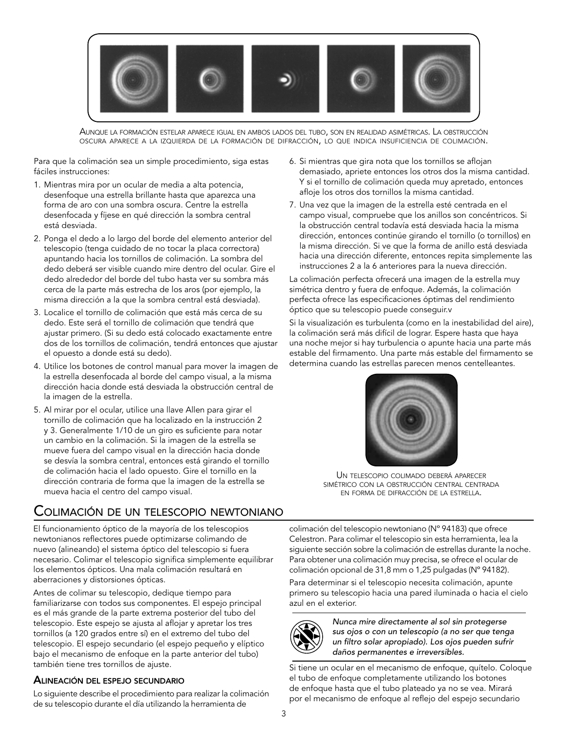

Aunque la formación estelar aparece igual en ambos lados del tubo, son en realidad asimétricas. La obstrucción oscura aparece <sup>a</sup> la izquierda de la formación de difracción, lo que indica insuficiencia de colimación.

Para que la colimación sea un simple procedimiento, siga estas fáciles instrucciones:

- 1. Mientras mira por un ocular de media a alta potencia, desenfoque una estrella brillante hasta que aparezca una forma de aro con una sombra oscura. Centre la estrella desenfocada y fíjese en qué dirección la sombra central está desviada.
- 2. Ponga el dedo a lo largo del borde del elemento anterior del telescopio (tenga cuidado de no tocar la placa correctora) apuntando hacia los tornillos de colimación. La sombra del dedo deberá ser visible cuando mire dentro del ocular. Gire el dedo alrededor del borde del tubo hasta ver su sombra más cerca de la parte más estrecha de los aros (por ejemplo, la misma dirección a la que la sombra central está desviada).
- 3. Localice el tornillo de colimación que está más cerca de su dedo. Este será el tornillo de colimación que tendrá que ajustar primero. (Si su dedo está colocado exactamente entre dos de los tornillos de colimación, tendrá entonces que ajustar el opuesto a donde está su dedo).
- 4. Utilice los botones de control manual para mover la imagen de la estrella desenfocada al borde del campo visual, a la misma dirección hacia donde está desviada la obstrucción central de la imagen de la estrella.
- 5. Al mirar por el ocular, utilice una llave Allen para girar el tornillo de colimación que ha localizado en la instrucción 2 y 3. Generalmente 1/10 de un giro es suficiente para notar un cambio en la colimación. Si la imagen de la estrella se mueve fuera del campo visual en la dirección hacia donde se desvía la sombra central, entonces está girando el tornillo de colimación hacia el lado opuesto. Gire el tornillo en la dirección contraria de forma que la imagen de la estrella se mueva hacia el centro del campo visual.

## Colimación de un telescopio newtoniano

El funcionamiento óptico de la mayoría de los telescopios newtonianos reflectores puede optimizarse colimando de nuevo (alineando) el sistema óptico del telescopio si fuera necesario. Colimar el telescopio significa simplemente equilibrar los elementos ópticos. Una mala colimación resultará en aberraciones y distorsiones ópticas.

Antes de colimar su telescopio, dedique tiempo para familiarizarse con todos sus componentes. El espejo principal es el más grande de la parte extrema posterior del tubo del telescopio. Este espejo se ajusta al aflojar y apretar los tres tornillos (a 120 grados entre sí) en el extremo del tubo del telescopio. El espejo secundario (el espejo pequeño y elíptico bajo el mecanismo de enfoque en la parte anterior del tubo) también tiene tres tornillos de ajuste.

## Alineación del espejo secundario

Lo siguiente describe el procedimiento para realizar la colimación de su telescopio durante el día utilizando la herramienta de

- 6. Si mientras que gira nota que los tornillos se aflojan demasiado, apriete entonces los otros dos la misma cantidad. Y si el tornillo de colimación queda muy apretado, entonces afloje los otros dos tornillos la misma cantidad.
- 7. Una vez que la imagen de la estrella esté centrada en el campo visual, compruebe que los anillos son concéntricos. Si la obstrucción central todavía está desviada hacia la misma dirección, entonces continúe girando el tornillo (o tornillos) en la misma dirección. Si ve que la forma de anillo está desviada hacia una dirección diferente, entonces repita simplemente las instrucciones 2 a la 6 anteriores para la nueva dirección.

La colimación perfecta ofrecerá una imagen de la estrella muy simétrica dentro y fuera de enfoque. Además, la colimación perfecta ofrece las especificaciones óptimas del rendimiento óptico que su telescopio puede conseguir.v

Si la visualización es turbulenta (como en la inestabilidad del aire), la colimación será más difícil de lograr. Espere hasta que haya una noche mejor si hay turbulencia o apunte hacia una parte más estable del firmamento. Una parte más estable del firmamento se determina cuando las estrellas parecen menos centelleantes.



Un telescopio colimado deberá aparecer simétrico con la obstrucción central centrada en forma de difracción de la estrella.

colimación del telescopio newtoniano (Nº 94183) que ofrece Celestron. Para colimar el telescopio sin esta herramienta, lea la siguiente sección sobre la colimación de estrellas durante la noche. Para obtener una colimación muy precisa, se ofrece el ocular de colimación opcional de 31,8 mm o 1,25 pulgadas (Nº 94182).

Para determinar si el telescopio necesita colimación, apunte primero su telescopio hacia una pared iluminada o hacia el cielo azul en el exterior.



*Nunca mire directamente al sol sin protegerse sus ojos o con un telescopio (a no ser que tenga un filtro solar apropiado). Los ojos pueden sufrir daños permanentes e irreversibles.*

Si tiene un ocular en el mecanismo de enfoque, quítelo. Coloque el tubo de enfoque completamente utilizando los botones de enfoque hasta que el tubo plateado ya no se vea. Mirará por el mecanismo de enfoque al reflejo del espejo secundario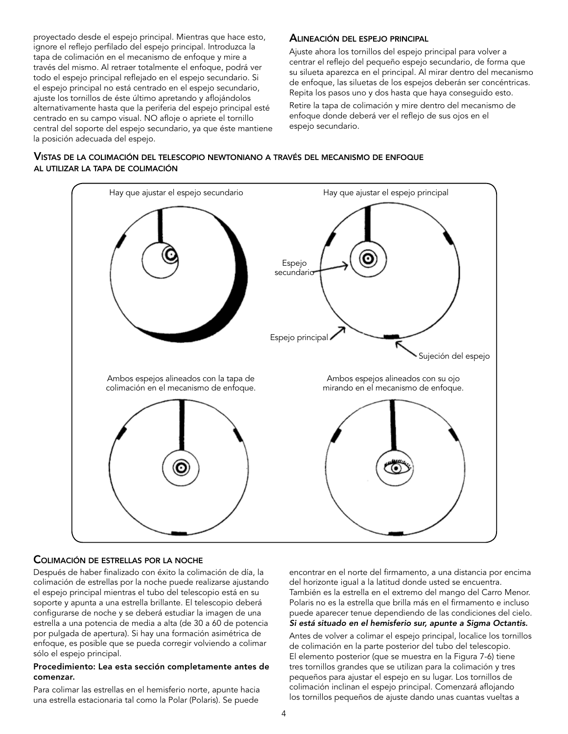proyectado desde el espejo principal. Mientras que hace esto, ignore el reflejo perfilado del espejo principal. Introduzca la tapa de colimación en el mecanismo de enfoque y mire a través del mismo. Al retraer totalmente el enfoque, podrá ver todo el espejo principal reflejado en el espejo secundario. Si el espejo principal no está centrado en el espejo secundario, ajuste los tornillos de éste último apretando y aflojándolos alternativamente hasta que la periferia del espejo principal esté centrado en su campo visual. NO afloje o apriete el tornillo central del soporte del espejo secundario, ya que éste mantiene la posición adecuada del espejo.

#### Alineación del espejo principal

Ajuste ahora los tornillos del espejo principal para volver a centrar el reflejo del pequeño espejo secundario, de forma que su silueta aparezca en el principal. Al mirar dentro del mecanismo de enfoque, las siluetas de los espejos deberán ser concéntricas. Repita los pasos uno y dos hasta que haya conseguido esto.

Retire la tapa de colimación y mire dentro del mecanismo de enfoque donde deberá ver el reflejo de sus ojos en el espejo secundario.





#### Colimación de estrellas por la noche

Después de haber finalizado con éxito la colimación de día, la colimación de estrellas por la noche puede realizarse ajustando el espejo principal mientras el tubo del telescopio está en su soporte y apunta a una estrella brillante. El telescopio deberá configurarse de noche y se deberá estudiar la imagen de una estrella a una potencia de media a alta (de 30 a 60 de potencia por pulgada de apertura). Si hay una formación asimétrica de enfoque, es posible que se pueda corregir volviendo a colimar sólo el espejo principal.

#### Procedimiento: Lea esta sección completamente antes de comenzar.

Para colimar las estrellas en el hemisferio norte, apunte hacia una estrella estacionaria tal como la Polar (Polaris). Se puede

encontrar en el norte del firmamento, a una distancia por encima del horizonte igual a la latitud donde usted se encuentra. También es la estrella en el extremo del mango del Carro Menor. Polaris no es la estrella que brilla más en el firmamento e incluso puede aparecer tenue dependiendo de las condiciones del cielo. *Si está situado en el hemisferio sur, apunte a Sigma Octantis.*

Antes de volver a colimar el espejo principal, localice los tornillos de colimación en la parte posterior del tubo del telescopio. El elemento posterior (que se muestra en la Figura 7-6) tiene tres tornillos grandes que se utilizan para la colimación y tres pequeños para ajustar el espejo en su lugar. Los tornillos de colimación inclinan el espejo principal. Comenzará aflojando los tornillos pequeños de ajuste dando unas cuantas vueltas a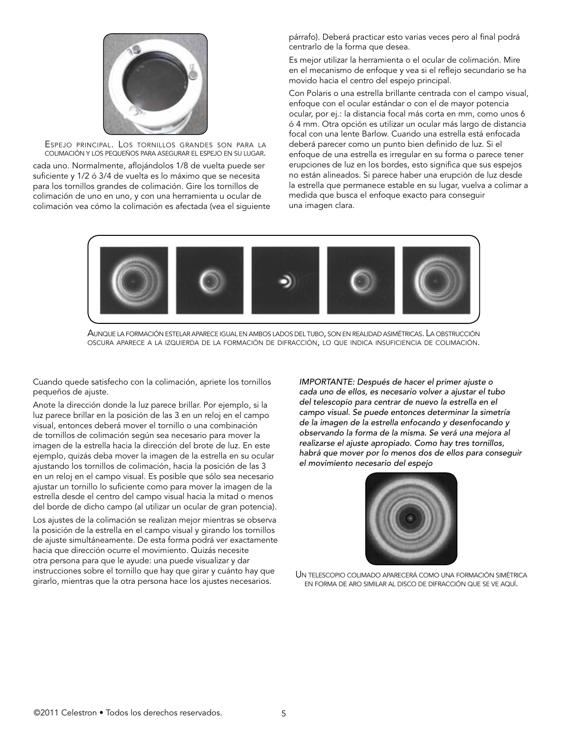

Espejo principal. Los tornillos grandes son para la colimación <sup>y</sup> los pequeños para asegurar el espejo en su lugar.

cada uno. Normalmente, aflojándolos 1/8 de vuelta puede ser suficiente y 1/2 ó 3/4 de vuelta es lo máximo que se necesita para los tornillos grandes de colimación. Gire los tornillos de colimación de uno en uno, y con una herramienta u ocular de colimación vea cómo la colimación es afectada (vea el siguiente párrafo). Deberá practicar esto varias veces pero al final podrá centrarlo de la forma que desea.

Es mejor utilizar la herramienta o el ocular de colimación. Mire en el mecanismo de enfoque y vea si el reflejo secundario se ha movido hacia el centro del espejo principal.

Con Polaris o una estrella brillante centrada con el campo visual, enfoque con el ocular estándar o con el de mayor potencia ocular, por ej.: la distancia focal más corta en mm, como unos 6 ó 4 mm. Otra opción es utilizar un ocular más largo de distancia focal con una lente Barlow. Cuando una estrella está enfocada deberá parecer como un punto bien definido de luz. Si el enfoque de una estrella es irregular en su forma o parece tener erupciones de luz en los bordes, esto significa que sus espejos no están alineados. Si parece haber una erupción de luz desde la estrella que permanece estable en su lugar, vuelva a colimar a medida que busca el enfoque exacto para conseguir una imagen clara.



Aunque la formación estelar aparece igual en ambos lados del tubo, son en realidad asimétricas. La obstrucción oscura aparece <sup>a</sup> la izquierda de la formación de difracción, lo que indica insuficiencia de colimación.

Cuando quede satisfecho con la colimación, apriete los tornillos pequeños de ajuste.

Anote la dirección donde la luz parece brillar. Por ejemplo, si la luz parece brillar en la posición de las 3 en un reloj en el campo visual, entonces deberá mover el tornillo o una combinación de tornillos de colimación según sea necesario para mover la imagen de la estrella hacia la dirección del brote de luz. En este ejemplo, quizás deba mover la imagen de la estrella en su ocular ajustando los tornillos de colimación, hacia la posición de las 3 en un reloj en el campo visual. Es posible que sólo sea necesario ajustar un tornillo lo suficiente como para mover la imagen de la estrella desde el centro del campo visual hacia la mitad o menos del borde de dicho campo (al utilizar un ocular de gran potencia).

Los ajustes de la colimación se realizan mejor mientras se observa la posición de la estrella en el campo visual y girando los tornillos de ajuste simultáneamente. De esta forma podrá ver exactamente hacia que dirección ocurre el movimiento. Quizás necesite otra persona para que le ayude: una puede visualizar y dar instrucciones sobre el tornillo que hay que girar y cuánto hay que girarlo, mientras que la otra persona hace los ajustes necesarios.

*IMPORTANTE: Después de hacer el primer ajuste o cada uno de ellos, es necesario volver a ajustar el tubo del telescopio para centrar de nuevo la estrella en el campo visual. Se puede entonces determinar la simetría de la imagen de la estrella enfocando y desenfocando y observando la forma de la misma. Se verá una mejora al realizarse el ajuste apropiado. Como hay tres tornillos, habrá que mover por lo menos dos de ellos para conseguir el movimiento necesario del espejo*



Un telescopio colimado aparecerá como una formación simétrica en forma de aro similar al disco de difracción que se ve aquí.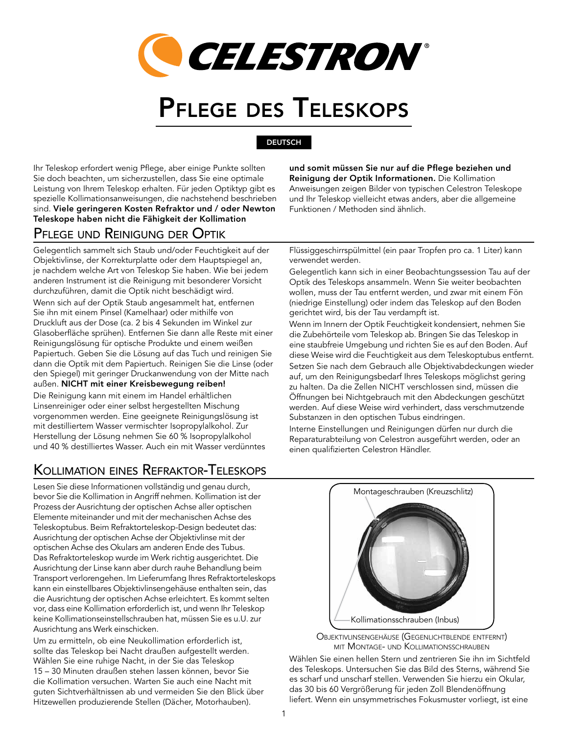

# Pflege des Teleskops

## **DEUTSCH**

Ihr Teleskop erfordert wenig Pflege, aber einige Punkte sollten Sie doch beachten, um sicherzustellen, dass Sie eine optimale Leistung von Ihrem Teleskop erhalten. Für jeden Optiktyp gibt es spezielle Kollimationsanweisungen, die nachstehend beschrieben sind. Viele geringeren Kosten Refraktor und / oder Newton Teleskope haben nicht die Fähigkeit der Kollimation

## Pflege und Reinigung der Optik

Gelegentlich sammelt sich Staub und/oder Feuchtigkeit auf der Objektivlinse, der Korrekturplatte oder dem Hauptspiegel an, je nachdem welche Art von Teleskop Sie haben. Wie bei jedem anderen Instrument ist die Reinigung mit besonderer Vorsicht durchzuführen, damit die Optik nicht beschädigt wird. Wenn sich auf der Optik Staub angesammelt hat, entfernen Sie ihn mit einem Pinsel (Kamelhaar) oder mithilfe von Druckluft aus der Dose (ca. 2 bis 4 Sekunden im Winkel zur Glasoberfläche sprühen). Entfernen Sie dann alle Reste mit einer Reinigungslösung für optische Produkte und einem weißen Papiertuch. Geben Sie die Lösung auf das Tuch und reinigen Sie dann die Optik mit dem Papiertuch. Reinigen Sie die Linse (oder den Spiegel) mit geringer Druckanwendung von der Mitte nach außen. NICHT mit einer Kreisbewegung reiben! Die Reinigung kann mit einem im Handel erhältlichen Linsenreiniger oder einer selbst hergestellten Mischung vorgenommen werden. Eine geeignete Reinigungslösung ist mit destilliertem Wasser vermischter Isopropylalkohol. Zur Herstellung der Lösung nehmen Sie 60 % Isopropylalkohol

# Kollimation eines Refraktor-Teleskops

und 40 % destilliertes Wasser. Auch ein mit Wasser verdünntes

Lesen Sie diese Informationen vollständig und genau durch, bevor Sie die Kollimation in Angriff nehmen. Kollimation ist der Prozess der Ausrichtung der optischen Achse aller optischen Elemente miteinander und mit der mechanischen Achse des Teleskoptubus. Beim Refraktorteleskop-Design bedeutet das: Ausrichtung der optischen Achse der Objektivlinse mit der optischen Achse des Okulars am anderen Ende des Tubus. Das Refraktorteleskop wurde im Werk richtig ausgerichtet. Die Ausrichtung der Linse kann aber durch rauhe Behandlung beim Transport verlorengehen. Im Lieferumfang Ihres Refraktorteleskops kann ein einstellbares Objektivlinsengehäuse enthalten sein, das die Ausrichtung der optischen Achse erleichtert. Es kommt selten vor, dass eine Kollimation erforderlich ist, und wenn Ihr Teleskop keine Kollimationseinstellschrauben hat, müssen Sie es u.U. zur Ausrichtung ans Werk einschicken.

Um zu ermitteln, ob eine Neukollimation erforderlich ist, sollte das Teleskop bei Nacht draußen aufgestellt werden. Wählen Sie eine ruhige Nacht, in der Sie das Teleskop 15 – 30 Minuten draußen stehen lassen können, bevor Sie die Kollimation versuchen. Warten Sie auch eine Nacht mit guten Sichtverhältnissen ab und vermeiden Sie den Blick über Hitzewellen produzierende Stellen (Dächer, Motorhauben).

und somit müssen Sie nur auf die Pflege beziehen und Reinigung der Optik Informationen. Die Kollimation Anweisungen zeigen Bilder von typischen Celestron Teleskope und Ihr Teleskop vielleicht etwas anders, aber die allgemeine Funktionen / Methoden sind ähnlich.

Flüssiggeschirrspülmittel (ein paar Tropfen pro ca. 1 Liter) kann verwendet werden.

Gelegentlich kann sich in einer Beobachtungssession Tau auf der Optik des Teleskops ansammeln. Wenn Sie weiter beobachten wollen, muss der Tau entfernt werden, und zwar mit einem Fön (niedrige Einstellung) oder indem das Teleskop auf den Boden gerichtet wird, bis der Tau verdampft ist.

Wenn im Innern der Optik Feuchtigkeit kondensiert, nehmen Sie die Zubehörteile vom Teleskop ab. Bringen Sie das Teleskop in eine staubfreie Umgebung und richten Sie es auf den Boden. Auf diese Weise wird die Feuchtigkeit aus dem Teleskoptubus entfernt. Setzen Sie nach dem Gebrauch alle Objektivabdeckungen wieder auf, um den Reinigungsbedarf Ihres Teleskops möglichst gering zu halten. Da die Zellen NICHT verschlossen sind, müssen die Öffnungen bei Nichtgebrauch mit den Abdeckungen geschützt werden. Auf diese Weise wird verhindert, dass verschmutzende Substanzen in den optischen Tubus eindringen.

Interne Einstellungen und Reinigungen dürfen nur durch die Reparaturabteilung von Celestron ausgeführt werden, oder an einen qualifizierten Celestron Händler.



Objektivlinsengehäuse (Gegenlichtblende entfernt) mit Montage- und Kollimationsschrauben

Wählen Sie einen hellen Stern und zentrieren Sie ihn im Sichtfeld des Teleskops. Untersuchen Sie das Bild des Sterns, während Sie es scharf und unscharf stellen. Verwenden Sie hierzu ein Okular, das 30 bis 60 Vergrößerung für jeden Zoll Blendenöffnung liefert. Wenn ein unsymmetrisches Fokusmuster vorliegt, ist eine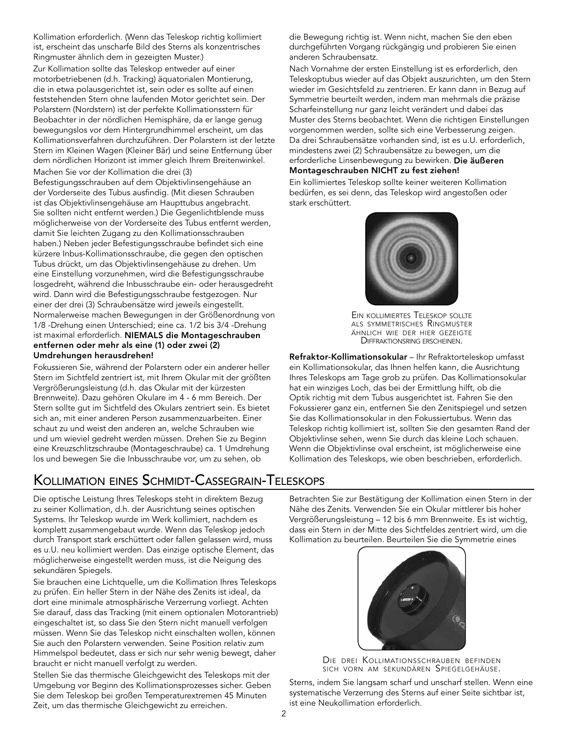Kollimation erforderlich. (Wenn das Teleskop richtig kollimiert ist, erscheint das unscharfe Bild des Sterns als konzentrisches Ringmuster ähnlich dem in gezeigten Muster.)

Zur Kollimation sollte das Teleskop entweder auf einer motorbetriebenen (d.h. Tracking) äquatorialen Montierung, die in etwa polausgerichtet ist, sein oder es sollte auf einen feststehenden Stern ohne laufenden Motor gerichtet sein. Der Polarstern (Nordstern) ist der perfekte Kollimationsstern für Beobachter in der nördlichen Hemisphäre, da er lange genug bewegungslos vor dem Hintergrundhimmel erscheint, um das Kollimationsverfahren durchzuführen. Der Polarstern ist der letzte Stern im Kleinen Wagen (Kleiner Bär) und seine Entfernung über dem nördlichen Horizont ist immer gleich Ihrem Breitenwinkel. Machen Sie vor der Kollimation die drei (3)

Befestigungsschrauben auf dem Objektivlinsengehäuse an der Vorderseite des Tubus ausfindig. (Mit diesen Schrauben ist das Objektivlinsengehäuse am Haupttubus angebracht. Sie sollten nicht entfernt werden.) Die Gegenlichtblende muss möglicherweise von der Vorderseite des Tubus entfernt werden, damit Sie leichten Zugang zu den Kollimationsschrauben haben.) Neben jeder Befestigungsschraube befindet sich eine kürzere Inbus-Kollimationsschraube, die gegen den optischen Tubus drückt, um das Objektivlinsengehäuse zu drehen. Um eine Einstellung vorzunehmen, wird die Befestigungsschraube losgedreht, während die Inbusschraube ein- oder herausgedreht wird. Dann wird die Befestigungsschraube festgezogen. Nur einer der drei (3) Schraubensätze wird jeweils eingestellt. Normalerweise machen Bewegungen in der Größenordnung von 1/8 -Drehung einen Unterschied; eine ca. 1/2 bis 3/4 -Drehung ist maximal erforderlich. NIEMALS die Montageschrauben entfernen oder mehr als eine (1) oder zwei (2) Umdrehungen herausdrehen!

Fokussieren Sie, während der Polarstern oder ein anderer heller Stern im Sichtfeld zentriert ist, mit Ihrem Okular mit der größten Vergrößerungsleistung (d.h. das Okular mit der kürzesten Brennweite). Dazu gehören Okulare im 4 - 6 mm Bereich. Der Stern sollte gut im Sichtfeld des Okulars zentriert sein. Es bietet sich an, mit einer anderen Person zusammenzuarbeiten. Einer schaut zu und weist den anderen an, welche Schrauben wie und um wieviel gedreht werden müssen. Drehen Sie zu Beginn eine Kreuzschlitzschraube (Montageschraube) ca. 1 Umdrehung los und bewegen Sie die Inbusschraube vor, um zu sehen, ob

# Kollimation eines Schmidt-Cassegrain-Teleskops

Die optische Leistung Ihres Teleskops steht in direktem Bezug zu seiner Kollimation, d.h. der Ausrichtung seines optischen Systems. Ihr Teleskop wurde im Werk kollimiert, nachdem es komplett zusammengebaut wurde. Wenn das Teleskop jedoch durch Transport stark erschüttert oder fallen gelassen wird, muss es u.U. neu kollimiert werden. Das einzige optische Element, das möglicherweise eingestellt werden muss, ist die Neigung des sekundären Spiegels.

Sie brauchen eine Lichtquelle, um die Kollimation Ihres Teleskops zu prüfen. Ein heller Stern in der Nähe des Zenits ist ideal, da dort eine minimale atmosphärische Verzerrung vorliegt. Achten Sie darauf, dass das Tracking (mit einem optionalen Motorantrieb) eingeschaltet ist, so dass Sie den Stern nicht manuell verfolgen müssen. Wenn Sie das Teleskop nicht einschalten wollen, können Sie auch den Polarstern verwenden. Seine Position relativ zum Himmelspol bedeutet, dass er sich nur sehr wenig bewegt, daher braucht er nicht manuell verfolgt zu werden.

Stellen Sie das thermische Gleichgewicht des Teleskops mit der Umgebung vor Beginn des Kollimationsprozesses sicher. Geben Sie dem Teleskop bei großen Temperaturextremen 45 Minuten Zeit, um das thermische Gleichgewicht zu erreichen.

die Bewegung richtig ist. Wenn nicht, machen Sie den eben durchgeführten Vorgang rückgängig und probieren Sie einen anderen Schraubensatz.

Nach Vornahme der ersten Einstellung ist es erforderlich, den Teleskoptubus wieder auf das Objekt auszurichten, um den Stern wieder im Gesichtsfeld zu zentrieren. Er kann dann in Bezug auf Symmetrie beurteilt werden, indem man mehrmals die präzise Scharfeinstellung nur ganz leicht verändert und dabei das Muster des Sterns beobachtet. Wenn die richtigen Einstellungen vorgenommen werden, sollte sich eine Verbesserung zeigen. Da drei Schraubensätze vorhanden sind, ist es u.U. erforderlich, mindestens zwei (2) Schraubensätze zu bewegen, um die erforderliche Linsenbewegung zu bewirken. Die äußeren Montageschrauben NICHT zu fest ziehen!

Ein kollimiertes Teleskop sollte keiner weiteren Kollimation bedürfen, es sei denn, das Teleskop wird angestoßen oder stark erschüttert.



Ein kollimiertes Teleskop sollte als symmetrisches Ringmuster ähnlich wie der hier gezeigte Diffraktionsring erscheinen.

Refraktor-Kollimationsokular – Ihr Refraktorteleskop umfasst ein Kollimationsokular, das Ihnen helfen kann, die Ausrichtung Ihres Teleskops am Tage grob zu prüfen. Das Kollimationsokular hat ein winziges Loch, das bei der Ermittlung hilft, ob die Optik richtig mit dem Tubus ausgerichtet ist. Fahren Sie den Fokussierer ganz ein, entfernen Sie den Zenitspiegel und setzen Sie das Kollimationsokular in den Fokussiertubus. Wenn das Teleskop richtig kollimiert ist, sollten Sie den gesamten Rand der Objektivlinse sehen, wenn Sie durch das kleine Loch schauen. Wenn die Objektivlinse oval erscheint, ist möglicherweise eine Kollimation des Teleskops, wie oben beschrieben, erforderlich.

Betrachten Sie zur Bestätigung der Kollimation einen Stern in der Nähe des Zenits. Verwenden Sie ein Okular mittlerer bis hoher Vergrößerungsleistung – 12 bis 6 mm Brennweite. Es ist wichtig, dass ein Stern in der Mitte des Sichtfeldes zentriert wird, um die Kollimation zu beurteilen. Beurteilen Sie die Symmetrie eines



DIE DREI KOLLIMATIONSSCHRAUBEN BEFINDEN sich vorn am sekundären Spiegelgehäuse.

Sterns, indem Sie langsam scharf und unscharf stellen. Wenn eine systematische Verzerrung des Sterns auf einer Seite sichtbar ist, ist eine Neukollimation erforderlich.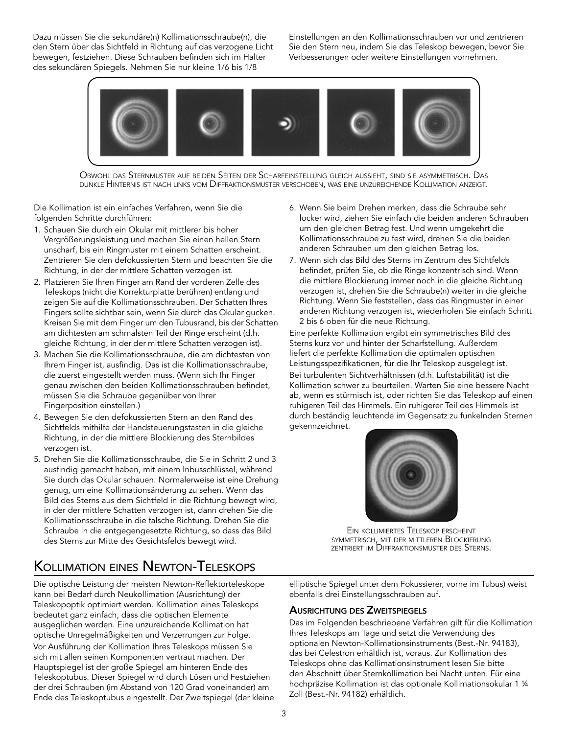Dazu müssen Sie die sekundäre(n) Kollimationsschraube(n), die den Stern über das Sichtfeld in Richtung auf das verzogene Licht bewegen, festziehen. Diese Schrauben befinden sich im Halter des sekundären Spiegels. Nehmen Sie nur kleine 1/6 bis 1/8

Einstellungen an den Kollimationsschrauben vor und zentrieren Sie den Stern neu, indem Sie das Teleskop bewegen, bevor Sie Verbesserungen oder weitere Einstellungen vornehmen.



Obwohl das Sternmuster auf beiden Seiten der Scharfeinstellung gleich aussieht, sind sie asymmetrisch. Das dunkle Hinternis ist nach links vom Diffraktionsmuster verschoben, was eine unzureichende Kollimation anzeigt.

Die Kollimation ist ein einfaches Verfahren, wenn Sie die folgenden Schritte durchführen:

- 1. Schauen Sie durch ein Okular mit mittlerer bis hoher Vergrößerungsleistung und machen Sie einen hellen Stern unscharf, bis ein Ringmuster mit einem Schatten erscheint. Zentrieren Sie den defokussierten Stern und beachten Sie die Richtung, in der der mittlere Schatten verzogen ist.
- 2. Platzieren Sie Ihren Finger am Rand der vorderen Zelle des Teleskops (nicht die Korrekturplatte berühren) entlang und zeigen Sie auf die Kollimationsschrauben. Der Schatten Ihres Fingers sollte sichtbar sein, wenn Sie durch das Okular gucken. Kreisen Sie mit dem Finger um den Tubusrand, bis der Schatten am dichtesten am schmalsten Teil der Ringe erscheint (d.h. gleiche Richtung, in der der mittlere Schatten verzogen ist).
- 3. Machen Sie die Kollimationsschraube, die am dichtesten von Ihrem Finger ist, ausfindig. Das ist die Kollimationsschraube, die zuerst eingestellt werden muss. (Wenn sich Ihr Finger genau zwischen den beiden Kollimationsschrauben befindet, müssen Sie die Schraube gegenüber von Ihrer Fingerposition einstellen.)
- 4. Bewegen Sie den defokussierten Stern an den Rand des Sichtfelds mithilfe der Handsteuerungstasten in die gleiche Richtung, in der die mittlere Blockierung des Sternbildes verzogen ist.
- 5. Drehen Sie die Kollimationsschraube, die Sie in Schritt 2 und 3 ausfindig gemacht haben, mit einem Inbusschlüssel, während Sie durch das Okular schauen. Normalerweise ist eine Drehung genug, um eine Kollimationsänderung zu sehen. Wenn das Bild des Sterns aus dem Sichtfeld in die Richtung bewegt wird, in der der mittlere Schatten verzogen ist, dann drehen Sie die Kollimationsschraube in die falsche Richtung. Drehen Sie die Schraube in die entgegengesetzte Richtung, so dass das Bild des Sterns zur Mitte des Gesichtsfelds bewegt wird.

# Kollimation eines Newton-Teleskops

Die optische Leistung der meisten Newton-Reflektorteleskope kann bei Bedarf durch Neukollimation (Ausrichtung) der Teleskopoptik optimiert werden. Kollimation eines Teleskops bedeutet ganz einfach, dass die optischen Elemente ausgeglichen werden. Eine unzureichende Kollimation hat optische Unregelmäßigkeiten und Verzerrungen zur Folge. Vor Ausführung der Kollimation Ihres Teleskops müssen Sie sich mit allen seinen Komponenten vertraut machen. Der Hauptspiegel ist der große Spiegel am hinteren Ende des Teleskoptubus. Dieser Spiegel wird durch Lösen und Festziehen der drei Schrauben (im Abstand von 120 Grad voneinander) am Ende des Teleskoptubus eingestellt. Der Zweitspiegel (der kleine

- 6. Wenn Sie beim Drehen merken, dass die Schraube sehr locker wird, ziehen Sie einfach die beiden anderen Schrauben um den gleichen Betrag fest. Und wenn umgekehrt die Kollimationsschraube zu fest wird, drehen Sie die beiden anderen Schrauben um den gleichen Betrag los.
- 7. Wenn sich das Bild des Sterns im Zentrum des Sichtfelds befindet, prüfen Sie, ob die Ringe konzentrisch sind. Wenn die mittlere Blockierung immer noch in die gleiche Richtung verzogen ist, drehen Sie die Schraube(n) weiter in die gleiche Richtung. Wenn Sie feststellen, dass das Ringmuster in einer anderen Richtung verzogen ist, wiederholen Sie einfach Schritt 2 bis 6 oben für die neue Richtung.

Eine perfekte Kollimation ergibt ein symmetrisches Bild des Sterns kurz vor und hinter der Scharfstellung. Außerdem liefert die perfekte Kollimation die optimalen optischen Leistungsspezifikationen, für die Ihr Teleskop ausgelegt ist. Bei turbulenten Sichtverhältnissen (d.h. Luftstabilität) ist die Kollimation schwer zu beurteilen. Warten Sie eine bessere Nacht ab, wenn es stürmisch ist, oder richten Sie das Teleskop auf einen ruhigeren Teil des Himmels. Ein ruhigerer Teil des Himmels ist durch beständig leuchtende im Gegensatz zu funkelnden Sternen gekennzeichnet.



Ein kollimiertes Teleskop erscheint symmetrisch, mit der mittleren Blockierung zentriert im Diffraktionsmuster des Sterns.

elliptische Spiegel unter dem Fokussierer, vorne im Tubus) weist ebenfalls drei Einstellungsschrauben auf.

## Ausrichtung des Zweitspiegels

Das im Folgenden beschriebene Verfahren gilt für die Kollimation Ihres Teleskops am Tage und setzt die Verwendung des optionalen Newton-Kollimationsinstruments (Best.-Nr. 94183), das bei Celestron erhältlich ist, voraus. Zur Kollimation des Teleskops ohne das Kollimationsinstrument lesen Sie bitte den Abschnitt über Sternkollimation bei Nacht unten. Für eine hochpräzise Kollimation ist das optionale Kollimationsokular 1 ¼ Zoll (Best.-Nr. 94182) erhältlich.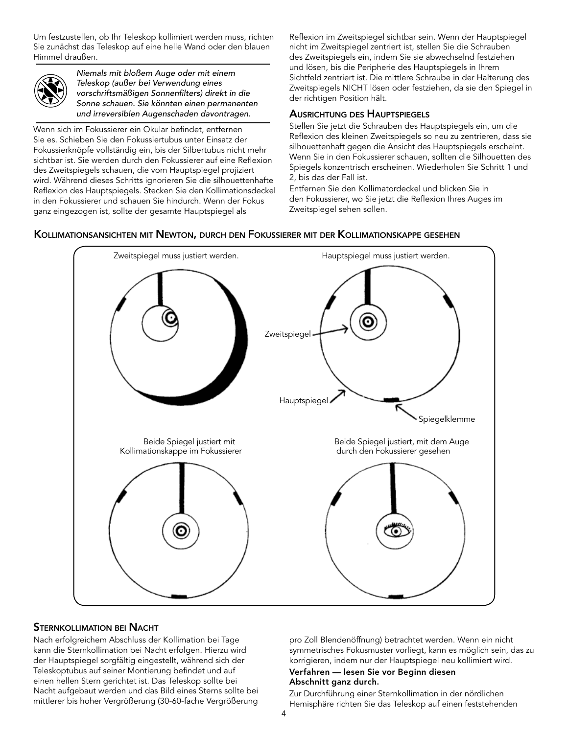Um festzustellen, ob Ihr Teleskop kollimiert werden muss, richten Sie zunächst das Teleskop auf eine helle Wand oder den blauen Himmel draußen.



*Niemals mit bloßem Auge oder mit einem Teleskop (außer bei Verwendung eines vorschriftsmäßigen Sonnenfilters) direkt in die Sonne schauen. Sie könnten einen permanenten und irreversiblen Augenschaden davontragen.*

Wenn sich im Fokussierer ein Okular befindet, entfernen Sie es. Schieben Sie den Fokussiertubus unter Einsatz der Fokussierknöpfe vollständig ein, bis der Silbertubus nicht mehr sichtbar ist. Sie werden durch den Fokussierer auf eine Reflexion des Zweitspiegels schauen, die vom Hauptspiegel projiziert wird. Während dieses Schritts ignorieren Sie die silhouettenhafte Reflexion des Hauptspiegels. Stecken Sie den Kollimationsdeckel in den Fokussierer und schauen Sie hindurch. Wenn der Fokus ganz eingezogen ist, sollte der gesamte Hauptspiegel als

Reflexion im Zweitspiegel sichtbar sein. Wenn der Hauptspiegel nicht im Zweitspiegel zentriert ist, stellen Sie die Schrauben des Zweitspiegels ein, indem Sie sie abwechselnd festziehen und lösen, bis die Peripherie des Hauptspiegels in Ihrem Sichtfeld zentriert ist. Die mittlere Schraube in der Halterung des Zweitspiegels NICHT lösen oder festziehen, da sie den Spiegel in der richtigen Position hält.

### Ausrichtung des Hauptspiegels

Stellen Sie jetzt die Schrauben des Hauptspiegels ein, um die Reflexion des kleinen Zweitspiegels so neu zu zentrieren, dass sie silhouettenhaft gegen die Ansicht des Hauptspiegels erscheint. Wenn Sie in den Fokussierer schauen, sollten die Silhouetten des Spiegels konzentrisch erscheinen. Wiederholen Sie Schritt 1 und 2, bis das der Fall ist.

Entfernen Sie den Kollimatordeckel und blicken Sie in den Fokussierer, wo Sie jetzt die Reflexion Ihres Auges im Zweitspiegel sehen sollen.

#### Kollimationsansichten mit Newton, durch den Fokussierer mit der Kollimationskappe gesehen



#### Sternkollimation bei Nacht

Nach erfolgreichem Abschluss der Kollimation bei Tage kann die Sternkollimation bei Nacht erfolgen. Hierzu wird der Hauptspiegel sorgfältig eingestellt, während sich der Teleskoptubus auf seiner Montierung befindet und auf einen hellen Stern gerichtet ist. Das Teleskop sollte bei Nacht aufgebaut werden und das Bild eines Sterns sollte bei mittlerer bis hoher Vergrößerung (30-60-fache Vergrößerung pro Zoll Blendenöffnung) betrachtet werden. Wenn ein nicht symmetrisches Fokusmuster vorliegt, kann es möglich sein, das zu korrigieren, indem nur der Hauptspiegel neu kollimiert wird.

#### Verfahren — lesen Sie vor Beginn diesen Abschnitt ganz durch.

Zur Durchführung einer Sternkollimation in der nördlichen Hemisphäre richten Sie das Teleskop auf einen feststehenden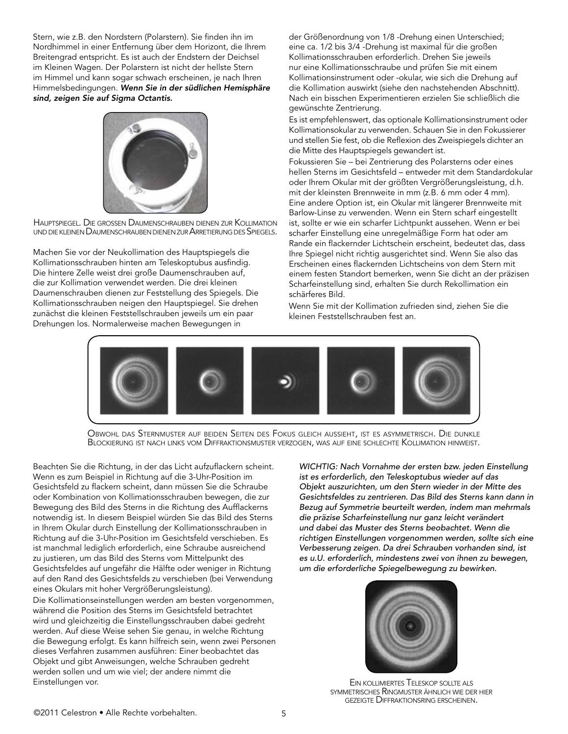Stern, wie z.B. den Nordstern (Polarstern). Sie finden ihn im Nordhimmel in einer Entfernung über dem Horizont, die Ihrem Breitengrad entspricht. Es ist auch der Endstern der Deichsel im Kleinen Wagen. Der Polarstern ist nicht der hellste Stern im Himmel und kann sogar schwach erscheinen, je nach Ihren Himmelsbedingungen. *Wenn Sie in der südlichen Hemisphäre sind, zeigen Sie auf Sigma Octantis.*



Hauptspiegel. Die grossen Daumenschrauben dienen zur Kollimation und die KLEINEN DAUMENSCHRAUBEN DIENEN ZUR ARRETIERUNG DES SPIEGELS.

Machen Sie vor der Neukollimation des Hauptspiegels die Kollimationsschrauben hinten am Teleskoptubus ausfindig. Die hintere Zelle weist drei große Daumenschrauben auf, die zur Kollimation verwendet werden. Die drei kleinen Daumenschrauben dienen zur Feststellung des Spiegels. Die Kollimationsschrauben neigen den Hauptspiegel. Sie drehen zunächst die kleinen Feststellschrauben jeweils um ein paar Drehungen los. Normalerweise machen Bewegungen in

der Größenordnung von 1/8 -Drehung einen Unterschied; eine ca. 1/2 bis 3/4 -Drehung ist maximal für die großen Kollimationsschrauben erforderlich. Drehen Sie jeweils nur eine Kollimationsschraube und prüfen Sie mit einem Kollimationsinstrument oder -okular, wie sich die Drehung auf die Kollimation auswirkt (siehe den nachstehenden Abschnitt). Nach ein bisschen Experimentieren erzielen Sie schließlich die gewünschte Zentrierung.

Es ist empfehlenswert, das optionale Kollimationsinstrument oder Kollimationsokular zu verwenden. Schauen Sie in den Fokussierer und stellen Sie fest, ob die Reflexion des Zweispiegels dichter an die Mitte des Hauptspiegels gewandert ist.

Fokussieren Sie – bei Zentrierung des Polarsterns oder eines hellen Sterns im Gesichtsfeld – entweder mit dem Standardokular oder Ihrem Okular mit der größten Vergrößerungsleistung, d.h. mit der kleinsten Brennweite in mm (z.B. 6 mm oder 4 mm). Eine andere Option ist, ein Okular mit längerer Brennweite mit Barlow-Linse zu verwenden. Wenn ein Stern scharf eingestellt ist, sollte er wie ein scharfer Lichtpunkt aussehen. Wenn er bei scharfer Einstellung eine unregelmäßige Form hat oder am Rande ein flackernder Lichtschein erscheint, bedeutet das, dass Ihre Spiegel nicht richtig ausgerichtet sind. Wenn Sie also das Erscheinen eines flackernden Lichtscheins von dem Stern mit einem festen Standort bemerken, wenn Sie dicht an der präzisen Scharfeinstellung sind, erhalten Sie durch Rekollimation ein schärferes Bild.

Wenn Sie mit der Kollimation zufrieden sind, ziehen Sie die kleinen Feststellschrauben fest an.



Obwohl das Sternmuster auf beiden Seiten des Fokus gleich aussieht, ist es asymmetrisch. Die dunkle Blockierung ist nach links vom Diffraktionsmuster verzogen, was auf eine schlechte Kollimation hinweist.

Beachten Sie die Richtung, in der das Licht aufzuflackern scheint. Wenn es zum Beispiel in Richtung auf die 3-Uhr-Position im Gesichtsfeld zu flackern scheint, dann müssen Sie die Schraube oder Kombination von Kollimationsschrauben bewegen, die zur Bewegung des Bild des Sterns in die Richtung des Aufflackerns notwendig ist. In diesem Beispiel würden Sie das Bild des Sterns in Ihrem Okular durch Einstellung der Kollimationsschrauben in Richtung auf die 3-Uhr-Position im Gesichtsfeld verschieben. Es ist manchmal lediglich erforderlich, eine Schraube ausreichend zu justieren, um das Bild des Sterns vom Mittelpunkt des Gesichtsfeldes auf ungefähr die Hälfte oder weniger in Richtung auf den Rand des Gesichtsfelds zu verschieben (bei Verwendung eines Okulars mit hoher Vergrößerungsleistung).

Die Kollimationseinstellungen werden am besten vorgenommen, während die Position des Sterns im Gesichtsfeld betrachtet wird und gleichzeitig die Einstellungsschrauben dabei gedreht werden. Auf diese Weise sehen Sie genau, in welche Richtung die Bewegung erfolgt. Es kann hilfreich sein, wenn zwei Personen dieses Verfahren zusammen ausführen: Einer beobachtet das Objekt und gibt Anweisungen, welche Schrauben gedreht werden sollen und um wie viel; der andere nimmt die Einstellungen vor.

*WICHTIG: Nach Vornahme der ersten bzw. jeden Einstellung ist es erforderlich, den Teleskoptubus wieder auf das Objekt auszurichten, um den Stern wieder in der Mitte des Gesichtsfeldes zu zentrieren. Das Bild des Sterns kann dann in Bezug auf Symmetrie beurteilt werden, indem man mehrmals die präzise Scharfeinstellung nur ganz leicht verändert und dabei das Muster des Sterns beobachtet. Wenn die richtigen Einstellungen vorgenommen werden, sollte sich eine Verbesserung zeigen. Da drei Schrauben vorhanden sind, ist es u.U. erforderlich, mindestens zwei von ihnen zu bewegen, um die erforderliche Spiegelbewegung zu bewirken.*



Ein kollimiertes Teleskop sollte als symmetrisches Ringmuster ähnlich wie der hier gezeigte Diffraktionsring erscheinen.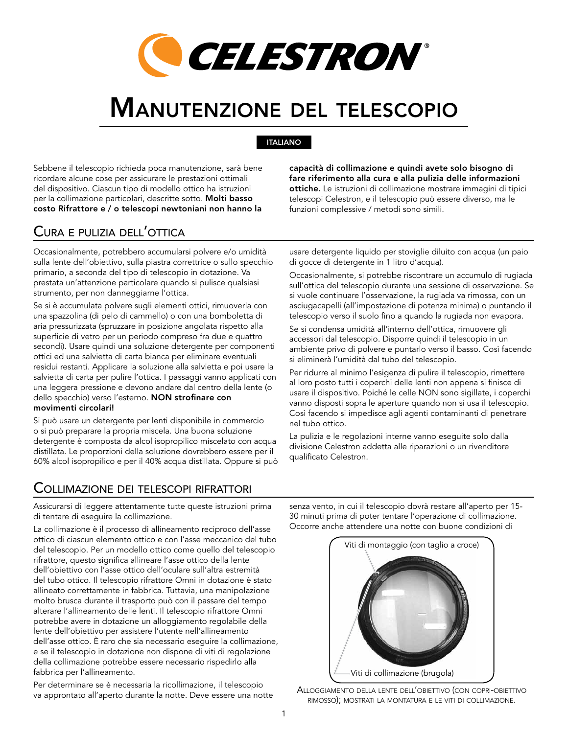

# Manutenzione del telescopio

## ITALIANO

Sebbene il telescopio richieda poca manutenzione, sarà bene ricordare alcune cose per assicurare le prestazioni ottimali del dispositivo. Ciascun tipo di modello ottico ha istruzioni per la collimazione particolari, descritte sotto. Molti basso costo Rifrattore e / o telescopi newtoniani non hanno la

## Cura e pulizia dell'ottica

Occasionalmente, potrebbero accumularsi polvere e/o umidità sulla lente dell'obiettivo, sulla piastra correttrice o sullo specchio primario, a seconda del tipo di telescopio in dotazione. Va prestata un'attenzione particolare quando si pulisce qualsiasi strumento, per non danneggiarne l'ottica.

Se si è accumulata polvere sugli elementi ottici, rimuoverla con una spazzolina (di pelo di cammello) o con una bomboletta di aria pressurizzata (spruzzare in posizione angolata rispetto alla superficie di vetro per un periodo compreso fra due e quattro secondi). Usare quindi una soluzione detergente per componenti ottici ed una salvietta di carta bianca per eliminare eventuali residui restanti. Applicare la soluzione alla salvietta e poi usare la salvietta di carta per pulire l'ottica. I passaggi vanno applicati con una leggera pressione e devono andare dal centro della lente (o dello specchio) verso l'esterno. NON strofinare con movimenti circolari!

Si può usare un detergente per lenti disponibile in commercio o si può preparare la propria miscela. Una buona soluzione detergente è composta da alcol isopropilico miscelato con acqua distillata. Le proporzioni della soluzione dovrebbero essere per il 60% alcol isopropilico e per il 40% acqua distillata. Oppure si può

capacità di collimazione e quindi avete solo bisogno di fare riferimento alla cura e alla pulizia delle informazioni ottiche. Le istruzioni di collimazione mostrare immagini di tipici telescopi Celestron, e il telescopio può essere diverso, ma le funzioni complessive / metodi sono simili.

usare detergente liquido per stoviglie diluito con acqua (un paio di gocce di detergente in 1 litro d'acqua).

Occasionalmente, si potrebbe riscontrare un accumulo di rugiada sull'ottica del telescopio durante una sessione di osservazione. Se si vuole continuare l'osservazione, la rugiada va rimossa, con un asciugacapelli (all'impostazione di potenza minima) o puntando il telescopio verso il suolo fino a quando la rugiada non evapora.

Se si condensa umidità all'interno dell'ottica, rimuovere gli accessori dal telescopio. Disporre quindi il telescopio in un ambiente privo di polvere e puntarlo verso il basso. Così facendo si eliminerà l'umidità dal tubo del telescopio.

Per ridurre al minimo l'esigenza di pulire il telescopio, rimettere al loro posto tutti i coperchi delle lenti non appena si finisce di usare il dispositivo. Poiché le celle NON sono sigillate, i coperchi vanno disposti sopra le aperture quando non si usa il telescopio. Così facendo si impedisce agli agenti contaminanti di penetrare nel tubo ottico.

La pulizia e le regolazioni interne vanno eseguite solo dalla divisione Celestron addetta alle riparazioni o un rivenditore qualificato Celestron.

## Collimazione dei telescopi rifrattori

Assicurarsi di leggere attentamente tutte queste istruzioni prima di tentare di eseguire la collimazione.

La collimazione è il processo di allineamento reciproco dell'asse ottico di ciascun elemento ottico e con l'asse meccanico del tubo del telescopio. Per un modello ottico come quello del telescopio rifrattore, questo significa allineare l'asse ottico della lente dell'obiettivo con l'asse ottico dell'oculare sull'altra estremità del tubo ottico. Il telescopio rifrattore Omni in dotazione è stato allineato correttamente in fabbrica. Tuttavia, una manipolazione molto brusca durante il trasporto può con il passare del tempo alterare l'allineamento delle lenti. Il telescopio rifrattore Omni potrebbe avere in dotazione un alloggiamento regolabile della lente dell'obiettivo per assistere l'utente nell'allineamento dell'asse ottico. È raro che sia necessario eseguire la collimazione, e se il telescopio in dotazione non dispone di viti di regolazione della collimazione potrebbe essere necessario rispedirlo alla fabbrica per l'allineamento.

Per determinare se è necessaria la ricollimazione, il telescopio va approntato all'aperto durante la notte. Deve essere una notte senza vento, in cui il telescopio dovrà restare all'aperto per 15- 30 minuti prima di poter tentare l'operazione di collimazione. Occorre anche attendere una notte con buone condizioni di



Alloggiamento della lente dell'obiettivo (con copri-obiettivo rimosso); mostrati la montatura e le viti di collimazione.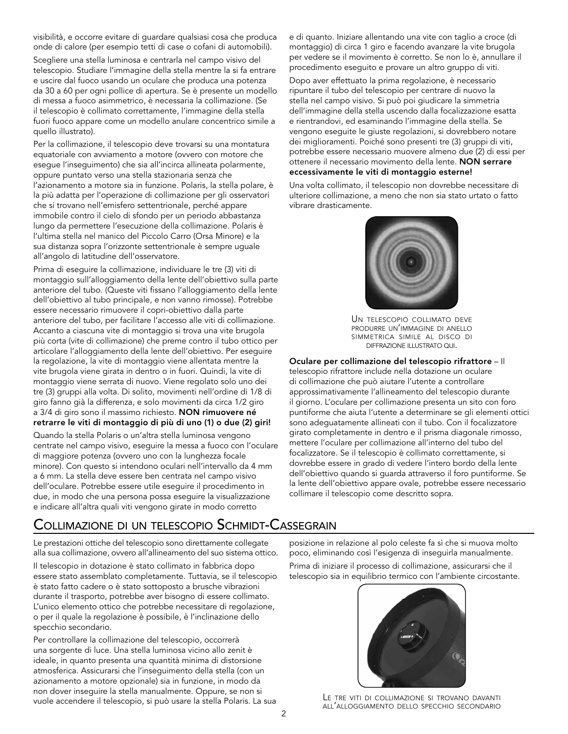visibilità, e occorre evitare di guardare qualsiasi cosa che produca onde di calore (per esempio tetti di case o cofani di automobili). Scegliere una stella luminosa e centrarla nel campo visivo del telescopio. Studiare l'immagine della stella mentre la si fa entrare e uscire dal fuoco usando un oculare che produca una potenza da 30 a 60 per ogni pollice di apertura. Se è presente un modello di messa a fuoco asimmetrico, è necessaria la collimazione. (Se il telescopio è collimato correttamente, l'immagine della stella fuori fuoco appare come un modello anulare concentrico simile a quello illustrato).

Per la collimazione, il telescopio deve trovarsi su una montatura equatoriale con avviamento a motore (ovvero con motore che esegue l'inseguimento) che sia all'incirca allineata polarmente, oppure puntato verso una stella stazionaria senza che l'azionamento a motore sia in funzione. Polaris, la stella polare, è la più adatta per l'operazione di collimazione per gli osservatori che si trovano nell'emisfero settentrionale, perché appare immobile contro il cielo di sfondo per un periodo abbastanza lungo da permettere l'esecuzione della collimazione. Polaris è l'ultima stella nel manico del Piccolo Carro (Orsa Minore) e la sua distanza sopra l'orizzonte settentrionale è sempre uguale all'angolo di latitudine dell'osservatore.

Prima di eseguire la collimazione, individuare le tre (3) viti di montaggio sull'alloggiamento della lente dell'obiettivo sulla parte anteriore del tubo. (Queste viti fissano l'alloggiamento della lente dell'obiettivo al tubo principale, e non vanno rimosse). Potrebbe essere necessario rimuovere il copri-obiettivo dalla parte anteriore del tubo, per facilitare l'accesso alle viti di collimazione. Accanto a ciascuna vite di montaggio si trova una vite brugola più corta (vite di collimazione) che preme contro il tubo ottico per articolare l'alloggiamento della lente dell'obiettivo. Per eseguire la regolazione, la vite di montaggio viene allentata mentre la vite brugola viene girata in dentro o in fuori. Quindi, la vite di montaggio viene serrata di nuovo. Viene regolato solo uno dei tre (3) gruppi alla volta. Di solito, movimenti nell'ordine di 1/8 di giro fanno già la differenza, e solo movimenti da circa 1/2 giro a 3/4 di giro sono il massimo richiesto. NON rimuovere né retrarre le viti di montaggio di più di uno (1) o due (2) giri!

Quando la stella Polaris o un'altra stella luminosa vengono centrate nel campo visivo, eseguire la messa a fuoco con l'oculare di maggiore potenza (ovvero uno con la lunghezza focale minore). Con questo si intendono oculari nell'intervallo da 4 mm a 6 mm. La stella deve essere ben centrata nel campo visivo dell'oculare. Potrebbe essere utile eseguire il procedimento in due, in modo che una persona possa eseguire la visualizzazione e indicare all'altra quali viti vengono girate in modo corretto

e di quanto. Iniziare allentando una vite con taglio a croce (di montaggio) di circa 1 giro e facendo avanzare la vite brugola per vedere se il movimento è corretto. Se non lo è, annullare il procedimento eseguito e provare un altro gruppo di viti.

Dopo aver effettuato la prima regolazione, è necessario ripuntare il tubo del telescopio per centrare di nuovo la stella nel campo visivo. Si può poi giudicare la simmetria dell'immagine della stella uscendo dalla focalizzazione esatta e rientrandovi, ed esaminando l'immagine della stella. Se vengono eseguite le giuste regolazioni, si dovrebbero notare dei miglioramenti. Poiché sono presenti tre (3) gruppi di viti, potrebbe essere necessario muovere almeno due (2) di essi per ottenere il necessario movimento della lente. NON serrare eccessivamente le viti di montaggio esterne!

Una volta collimato, il telescopio non dovrebbe necessitare di ulteriore collimazione, a meno che non sia stato urtato o fatto vibrare drasticamente.



Un telescopio collimato deve produrre un'immagine di anello simmetrica simile al disco di diffrazione illustrato qui.

Oculare per collimazione del telescopio rifrattore – Il telescopio rifrattore include nella dotazione un oculare di collimazione che può aiutare l'utente a controllare approssimativamente l'allineamento del telescopio durante il giorno. L'oculare per collimazione presenta un sito con foro puntiforme che aiuta l'utente a determinare se gli elementi ottici sono adeguatamente allineati con il tubo. Con il focalizzatore girato completamente in dentro e il prisma diagonale rimosso, mettere l'oculare per collimazione all'interno del tubo del focalizzatore. Se il telescopio è collimato correttamente, si dovrebbe essere in grado di vedere l'intero bordo della lente dell'obiettivo quando si guarda attraverso il foro puntiforme. Se la lente dell'obiettivo appare ovale, potrebbe essere necessario collimare il telescopio come descritto sopra.

# Collimazione di un telescopio Schmidt-Cassegrain

Le prestazioni ottiche del telescopio sono direttamente collegate alla sua collimazione, ovvero all'allineamento del suo sistema ottico.

Il telescopio in dotazione è stato collimato in fabbrica dopo essere stato assemblato completamente. Tuttavia, se il telescopio è stato fatto cadere o è stato sottoposto a brusche vibrazioni durante il trasporto, potrebbe aver bisogno di essere collimato. L'unico elemento ottico che potrebbe necessitare di regolazione, o per il quale la regolazione è possibile, è l'inclinazione dello specchio secondario.

Per controllare la collimazione del telescopio, occorrerà una sorgente di luce. Una stella luminosa vicino allo zenit è ideale, in quanto presenta una quantità minima di distorsione atmosferica. Assicurarsi che l'inseguimento della stella (con un azionamento a motore opzionale) sia in funzione, in modo da non dover inseguire la stella manualmente. Oppure, se non si vuole accendere il telescopio, si può usare la stella Polaris. La sua posizione in relazione al polo celeste fa sì che si muova molto poco, eliminando così l'esigenza di inseguirla manualmente. Prima di iniziare il processo di collimazione, assicurarsi che il telescopio sia in equilibrio termico con l'ambiente circostante.



Le tre viti di collimazione si trovano davanti all'alloggiamento dello specchio secondario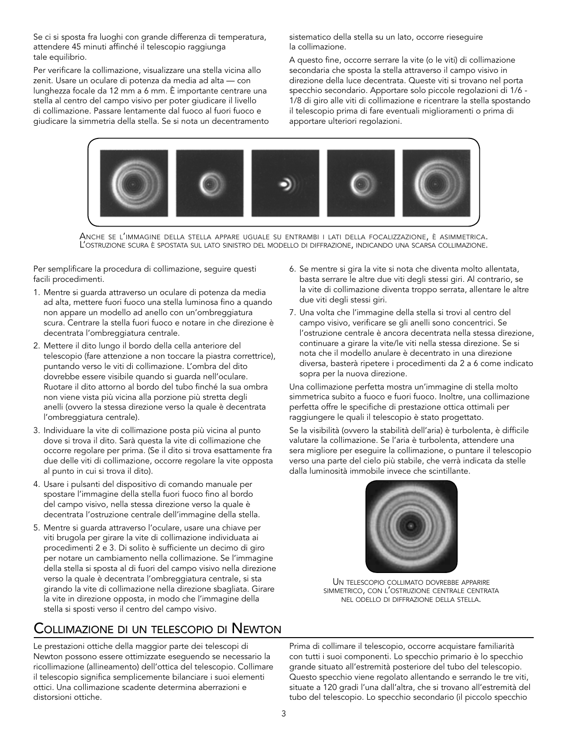Se ci si sposta fra luoghi con grande differenza di temperatura, attendere 45 minuti affinché il telescopio raggiunga tale equilibrio.

Per verificare la collimazione, visualizzare una stella vicina allo zenit. Usare un oculare di potenza da media ad alta — con lunghezza focale da 12 mm a 6 mm. È importante centrare una stella al centro del campo visivo per poter giudicare il livello di collimazione. Passare lentamente dal fuoco al fuori fuoco e giudicare la simmetria della stella. Se si nota un decentramento sistematico della stella su un lato, occorre rieseguire la collimazione.

A questo fine, occorre serrare la vite (o le viti) di collimazione secondaria che sposta la stella attraverso il campo visivo in direzione della luce decentrata. Queste viti si trovano nel porta specchio secondario. Apportare solo piccole regolazioni di 1/6 - 1/8 di giro alle viti di collimazione e ricentrare la stella spostando il telescopio prima di fare eventuali miglioramenti o prima di apportare ulteriori regolazioni.



Anche se l'immagine della stella appare uguale su entrambi i lati della focalizzazione, è asimmetrica.<br>L'ostruzione scura è spostata sul lato sinistro del modello di diffrazione, indicando una scarsa collimazione.

Per semplificare la procedura di collimazione, seguire questi facili procedimenti.

- 1. Mentre si guarda attraverso un oculare di potenza da media ad alta, mettere fuori fuoco una stella luminosa fino a quando non appare un modello ad anello con un'ombreggiatura scura. Centrare la stella fuori fuoco e notare in che direzione è decentrata l'ombreggiatura centrale.
- 2. Mettere il dito lungo il bordo della cella anteriore del telescopio (fare attenzione a non toccare la piastra correttrice), puntando verso le viti di collimazione. L'ombra del dito dovrebbe essere visibile quando si guarda nell'oculare. Ruotare il dito attorno al bordo del tubo finché la sua ombra non viene vista più vicina alla porzione più stretta degli anelli (ovvero la stessa direzione verso la quale è decentrata l'ombreggiatura centrale).
- 3. Individuare la vite di collimazione posta più vicina al punto dove si trova il dito. Sarà questa la vite di collimazione che occorre regolare per prima. (Se il dito si trova esattamente fra due delle viti di collimazione, occorre regolare la vite opposta al punto in cui si trova il dito).
- 4. Usare i pulsanti del dispositivo di comando manuale per spostare l'immagine della stella fuori fuoco fino al bordo del campo visivo, nella stessa direzione verso la quale è decentrata l'ostruzione centrale dell'immagine della stella.
- 5. Mentre si guarda attraverso l'oculare, usare una chiave per viti brugola per girare la vite di collimazione individuata ai procedimenti 2 e 3. Di solito è sufficiente un decimo di giro per notare un cambiamento nella collimazione. Se l'immagine della stella si sposta al di fuori del campo visivo nella direzione verso la quale è decentrata l'ombreggiatura centrale, si sta girando la vite di collimazione nella direzione sbagliata. Girare la vite in direzione opposta, in modo che l'immagine della stella si sposti verso il centro del campo visivo.

## Collimazione di un telescopio di Newton

Le prestazioni ottiche della maggior parte dei telescopi di Newton possono essere ottimizzate eseguendo se necessario la ricollimazione (allineamento) dell'ottica del telescopio. Collimare il telescopio significa semplicemente bilanciare i suoi elementi ottici. Una collimazione scadente determina aberrazioni e distorsioni ottiche.

- 6. Se mentre si gira la vite si nota che diventa molto allentata, basta serrare le altre due viti degli stessi giri. Al contrario, se la vite di collimazione diventa troppo serrata, allentare le altre due viti degli stessi giri.
- 7. Una volta che l'immagine della stella si trovi al centro del campo visivo, verificare se gli anelli sono concentrici. Se l'ostruzione centrale è ancora decentrata nella stessa direzione, continuare a girare la vite/le viti nella stessa direzione. Se si nota che il modello anulare è decentrato in una direzione diversa, basterà ripetere i procedimenti da 2 a 6 come indicato sopra per la nuova direzione.

Una collimazione perfetta mostra un'immagine di stella molto simmetrica subito a fuoco e fuori fuoco. Inoltre, una collimazione perfetta offre le specifiche di prestazione ottica ottimali per raggiungere le quali il telescopio è stato progettato.

Se la visibilità (ovvero la stabilità dell'aria) è turbolenta, è difficile valutare la collimazione. Se l'aria è turbolenta, attendere una sera migliore per eseguire la collimazione, o puntare il telescopio verso una parte del cielo più stabile, che verrà indicata da stelle dalla luminosità immobile invece che scintillante.



Un telescopio collimato dovrebbe apparire simmetrico, con l'ostruzione centrale centrata nel odello di diffrazione della stella.

Prima di collimare il telescopio, occorre acquistare familiarità con tutti i suoi componenti. Lo specchio primario è lo specchio grande situato all'estremità posteriore del tubo del telescopio. Questo specchio viene regolato allentando e serrando le tre viti, situate a 120 gradi l'una dall'altra, che si trovano all'estremità del tubo del telescopio. Lo specchio secondario (il piccolo specchio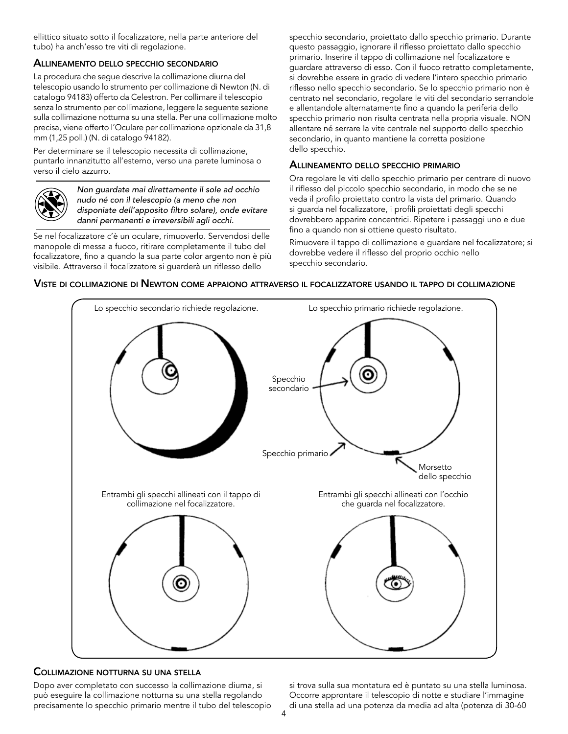ellittico situato sotto il focalizzatore, nella parte anteriore del tubo) ha anch'esso tre viti di regolazione.

## Allineamento dello specchio secondario

La procedura che segue descrive la collimazione diurna del telescopio usando lo strumento per collimazione di Newton (N. di catalogo 94183) offerto da Celestron. Per collimare il telescopio senza lo strumento per collimazione, leggere la seguente sezione sulla collimazione notturna su una stella. Per una collimazione molto precisa, viene offerto l'Oculare per collimazione opzionale da 31,8 mm (1,25 poll.) (N. di catalogo 94182).

Per determinare se il telescopio necessita di collimazione, puntarlo innanzitutto all'esterno, verso una parete luminosa o verso il cielo azzurro.



*Non guardate mai direttamente il sole ad occhio nudo né con il telescopio (a meno che non disponiate dell'apposito filtro solare), onde evitare danni permanenti e irreversibili agli occhi.*

Se nel focalizzatore c'è un oculare, rimuoverlo. Servendosi delle manopole di messa a fuoco, ritirare completamente il tubo del focalizzatore, fino a quando la sua parte color argento non è più visibile. Attraverso il focalizzatore si guarderà un riflesso dello

specchio secondario, proiettato dallo specchio primario. Durante questo passaggio, ignorare il riflesso proiettato dallo specchio primario. Inserire il tappo di collimazione nel focalizzatore e guardare attraverso di esso. Con il fuoco retratto completamente, si dovrebbe essere in grado di vedere l'intero specchio primario riflesso nello specchio secondario. Se lo specchio primario non è centrato nel secondario, regolare le viti del secondario serrandole e allentandole alternatamente fino a quando la periferia dello specchio primario non risulta centrata nella propria visuale. NON allentare né serrare la vite centrale nel supporto dello specchio secondario, in quanto mantiene la corretta posizione dello specchio.

### Allineamento dello specchio primario

Ora regolare le viti dello specchio primario per centrare di nuovo il riflesso del piccolo specchio secondario, in modo che se ne veda il profilo proiettato contro la vista del primario. Quando si guarda nel focalizzatore, i profili proiettati degli specchi dovrebbero apparire concentrici. Ripetere i passaggi uno e due fino a quando non si ottiene questo risultato.

Rimuovere il tappo di collimazione e guardare nel focalizzatore; si dovrebbe vedere il riflesso del proprio occhio nello specchio secondario.



#### Viste di collimazione di Newton come appaiono attraverso il focalizzatore usando il tappo di collimazione

## Collimazione notturna su una stella

Dopo aver completato con successo la collimazione diurna, si può eseguire la collimazione notturna su una stella regolando precisamente lo specchio primario mentre il tubo del telescopio si trova sulla sua montatura ed è puntato su una stella luminosa. Occorre approntare il telescopio di notte e studiare l'immagine di una stella ad una potenza da media ad alta (potenza di 30-60